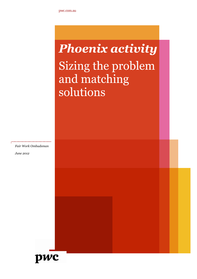# **Phoenix activity** Sizing the problem and matching solutions

*Fair Work Ombudsman June 2012* 

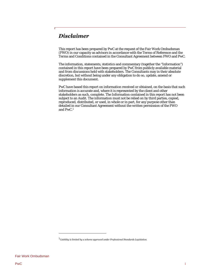# <span id="page-2-1"></span>*Disclaimer*

This report has been prepared by PwC at the request of the Fair Work Ombudsman (FWO) in our capacity as advisors in accordance with the Terms of Reference and the Terms and Conditions contained in the Consultant Agreement between FWO and PwC.

The information, statements, statistics and commentary (together the "Information") contained in this report have been prepared by PwC from publicly available material and from discussions held with stakeholders. The Consultants may in their absolute discretion, but without being under any obligation to do so, update, amend or supplement this document.

PwC have based this report on information received or obtained, on the basis that such information is accurate and, where it is represented by the client and other stakeholders as such, complete. The Information contained in this report has not been subject to an Audit. The information must not be relied on by third parties, copied, reproduced, distributed, or used, in whole or in part, for any purpose other than detailed in our Consultant Agreement without the written permission of the FWO and PwC[.1](#page-2-0) 

<span id="page-2-0"></span><sup>1</sup>*Liability is limited by a scheme approved under Professional Standards Legislation.*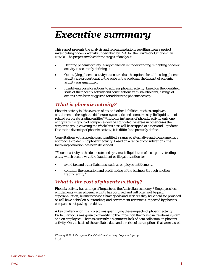# <span id="page-3-2"></span>**Executive summary**

This report presents the analysis and recommendations resulting from a project investigating phoenix activity undertaken by PwC for the Fair Work Ombudsman (FWO). The project involved three stages of analysis:

- Defining phoenix activity: a key challenge in understanding mitigating phoenix activity is accurately defining it.
- Quantifying phoenix activity: to ensure that the options for addressing phoenix activity are proportional to the scale of the problem, the impact of phoenix activity was quantified.
- Identifying possible actions to address phoenix activity: based on the identified scale of the phoenix activity and consultations with stakeholders, a range of actions have been suggested for addressing phoenix activity.

# *What is phoenix activity?*

Phoenix activity is "the evasion of tax and other liabilities, such as employee entitlements, through the deliberate, systematic and sometimes cyclic liquidation of related corporate trading entities".[2 I](#page-3-0)n some instances of phoenix activity only one entity within a group of companies will be liquidated, whereas in other cases the corporate group covering the whole business will be stripped of assets and liquidated. Due to the diversity of phoenix activity, it is difficult to precisely define.

Consultations with stakeholders identified a range of alternative and complementary approaches to defining phoenix activity. Based on a range of considerations, the following definition has been developed:

"Phoenix activity is the deliberate and systematic liquidation of a corporate trading entity which occurs with the fraudulent or illegal intention to:

- avoid tax and other liabilities, such as employee entitlements
- continue the operation and profit taking of the business through another trading entity."

# *What is the cost of phoenix activity?*

Phoenix activity has a range of impacts on the Australian economy.[3](#page-3-1) Employees lose entitlements when phoenix activity has occurred and will often not be paid superannuation; businesses won't have goods and services they have paid for provided or will have debts left outstanding; and government revenue is impacted by phoenix companies not paying tax debts.

A key challenge for this project was quantifying these impacts of phoenix activity. Particular focus was given to quantifying the impact on the industrial relations system and on employees. There is currently a significant lack of data collection on phoenix activity. On the basis of the available data and a series of assumptions that were tested

<span id="page-3-1"></span><span id="page-3-0"></span><sup>2</sup>Treasury 2009, *Action against Fraudulent Phoenix Activity: Proposals Paper*, p1. 3 Ibid.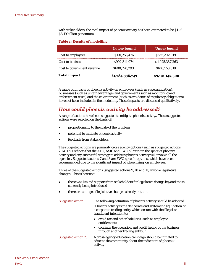with stakeholders, the total impact of phoenix activity has been estimated to be \$1.78 – \$3.19 billion per annum.

#### **Table 1: Results of modelling**

|                            | <b>Lower bound</b> | <b>Upper bound</b> |
|----------------------------|--------------------|--------------------|
| Cost to employees          | \$191,253,476      | \$655,202,019      |
| Cost to business           | \$992.314.974      | \$1,925,387,263    |
| Cost to government revenue | \$600,770,293      | \$610,553,018      |
| <b>Total impact</b>        | \$1,784,338,743    | \$3,191,142,300    |

A range of impacts of phoenix activity on employees (such as superannuation), businesses (such as unfair advantage) and government (such as monitoring and enforcement costs) and the environment (such as avoidance of regulatory obligations) have not been included in the modelling. These impacts are discussed qualitatively.

# *How could phoenix activity be addressed?*

A range of actions have been suggested to mitigate phoenix activity. These suggested actions were selected on the basis of:

- proportionality to the scale of the problem
- potential to mitigate phoenix activity
- feedback from stakeholders.

The suggested actions are primarily cross agency options (such as suggested actions 2-6). This reflects that the ATO, ASIC and FWO all work in the space of phoenix activity and any successful strategy to address phoenix activity will involve all the agencies. Suggested actions 7 and 8 are FWO specific options, which have been recommended due to the significant impact of 'phoenixing' on employees.

Three of the suggested actions (suggested actions 9, 10 and 11) involve legislative changes. This is because:

- there was limited support from stakeholders for legislative change beyond those currently being introduced
- there are a range of legislative changes already in train.

| Suggested action 1: | The following definition of phoenix activity should be adopted:                                                                                              |
|---------------------|--------------------------------------------------------------------------------------------------------------------------------------------------------------|
|                     | "Phoenix activity is the deliberate and systematic liquidation of<br>a corporate trading entity which occurs with the illegal or<br>fraudulent intention to: |
|                     | • avoid tax and other liabilities, such as employee<br>entitlements                                                                                          |
|                     | • continue the operation and profit taking of the business<br>through another trading entity."                                                               |
| Suggested action 2: | A cross-agency education campaign should be initiated to<br>educate the community about the indicators of phoenix<br>activity.                               |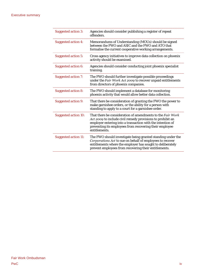#### Executive summary

| <b>Suggested action 3:</b>  | Agencies should consider publishing a register of repeat<br>offenders.                                                                                                                                                                                             |
|-----------------------------|--------------------------------------------------------------------------------------------------------------------------------------------------------------------------------------------------------------------------------------------------------------------|
| <b>Suggested action 4:</b>  | Memorandums of Understanding (MOUs) should be signed<br>between the FWO and ASIC and the FWO and ATO that<br>formalise the current cooperative working arrangements.                                                                                               |
| <b>Suggested action 5:</b>  | Cross agency initiatives to improve data collection on phoenix<br>activity should be examined.                                                                                                                                                                     |
| Suggested action 6:         | Agencies should consider conducting joint phoenix specialist<br>training.                                                                                                                                                                                          |
| <b>Suggested action 7:</b>  | The FWO should further investigate possible proceedings<br>under the Fair Work Act 2009 to recover unpaid entitlements<br>from directors of phoenix companies.                                                                                                     |
| <b>Suggested action 8:</b>  | The FWO should implement a database for monitoring<br>phoenix activity that would allow better data collection.                                                                                                                                                    |
| <b>Suggested action 9:</b>  | That there be consideration of granting the FWO the power to<br>make garnishee orders, or the ability for a person with<br>standing to apply to a court for a garnishee order.                                                                                     |
| <b>Suggested action 10:</b> | That there be consideration of amendments to the Fair Work<br>Act 2009 to include civil remedy provisions to prohibit an<br>employer entering into a transaction with the intention of<br>preventing its employees from recovering their employee<br>entitlements. |
| Suggested action 11:        | The FWO should investigate being granted standing under the<br>Corporations Act to sue on behalf of employees to recover<br>entitlements where the employer has sought to deliberately<br>prevent employees from recovering their entitlements.                    |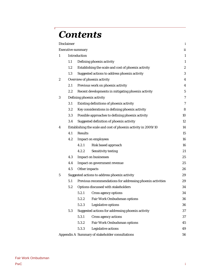# **Contents**

Г

|                  | Disclaimer |                          |                                                                | $\mathbf{i}$     |
|------------------|------------|--------------------------|----------------------------------------------------------------|------------------|
|                  |            | <b>Executive summary</b> |                                                                | ii               |
| $\mathbf{1}$     |            | Introduction             |                                                                | $\mathbf{1}$     |
|                  | 1.1        |                          | Defining phoenix activity                                      | $\mathbf{1}$     |
|                  | 1.2        |                          | Establishing the scale and cost of phoenix activity            | $\boldsymbol{2}$ |
|                  | 1.3        |                          | Suggested actions to address phoenix activity                  | 3                |
| $\boldsymbol{2}$ |            |                          | Overview of phoenix activity                                   | $\overline{4}$   |
|                  | 2.1        |                          | Previous work on phoenix activity                              | $\overline{4}$   |
|                  | 2.2        |                          | Recent developments in mitigating phoenix activity             | $\bf 5$          |
| 3                |            |                          | Defining phoenix activity                                      | $\tau$           |
|                  | 3.1        |                          | Existing definitions of phoenix activity                       | $\boldsymbol{7}$ |
|                  | 3.2        |                          | Key considerations in defining phoenix activity                | 8                |
|                  | 3.3        |                          | Possible approaches to defining phoenix activity               | 10               |
|                  | 3.4        |                          | Suggested definition of phoenix activity                       | 12               |
| 4                |            |                          | Establishing the scale and cost of phoenix activity in 2009/10 | 14               |
|                  | 4.1        | Results                  |                                                                | 15               |
|                  | 4.2        |                          | <b>Impact on employees</b>                                     | 16               |
|                  |            | 4.2.1                    | Risk based approach                                            | 16               |
|                  |            | 4.2.2                    | Sensitivity testing                                            | 21               |
|                  | 4.3        |                          | <b>Impact on businesses</b>                                    | 25               |
|                  | 4.4        |                          | Impact on government revenue                                   | 25               |
|                  | 4.5        | Other impacts            |                                                                | 26               |
| $\bf 5$          |            |                          | Suggested actions to address phoenix activity                  | 29               |
|                  | 5.1        |                          | Previous recommendations for addressing phoenix activities     | 29               |
|                  | 5.2        |                          | Options discussed with stakeholders                            | 34               |
|                  |            | 5.2.1                    | Cross agency options                                           | 34               |
|                  |            | 5.2.2                    | Fair Work Ombudsman options                                    | 36               |
|                  |            | 5.2.3                    | Legislative options                                            | 36               |
|                  | 5.3        |                          | Suggested actions for addressing phoenix activity              | 37               |
|                  |            | 5.3.1                    | Cross agency actions                                           | 37               |
|                  |            | 5.3.2                    | Fair Work Ombudsman options                                    | 45               |
|                  |            | 5.3.3                    | Legislative actions                                            | 49               |
|                  |            |                          | Appendix A Summary of stakeholder consultations                | 56               |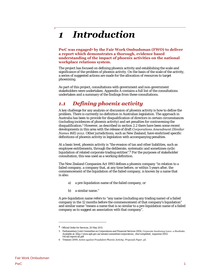#### <span id="page-8-0"></span>**Introduction**  $\mathbf{1}$

**PwC was engaged[4 b](#page-8-2)y the Fair Work Ombudsman (FWO) to deliver a report which demonstrates a thorough, evidence based understanding of the impact of phoenix activities on the national workplace relations system.** 

The project has focused on defining phoenix activity and establishing the scale and significance of the problem of phoenix activity. On the basis of the scale of the activity, a series of suggested actions are made for the allocation of resources to target phoenixing.

As part of this project, consultations with government and non-government stakeholders were undertaken. Appendix A contains a full list of the consultations undertaken and a summary of the findings from these consultations.

# <span id="page-8-1"></span>*1.1 Defining phoenix activity*

A key challenge for any analysis or discussion of phoenix activity is how to define the problem. There is currently no definition in Australian legislation. The approach in Australia has been to provide for disqualification of directors in certain circumstances (including incidences of phoenix activity) and set penalties for contravening the disqualification.[5 H](#page-8-3)owever, as described in section 2.2 there have been some recent developments in this area with the release of draft *Corporations Amendment (Similar Names Bill) 2012.* Other jurisdictions, such as New Zealand, have enshrined specific definitions of phoenix activity in legislation with accompanying penalties.

At a basic level, phoenix activity is "the evasion of tax and other liabilities, such as employee entitlements, through the deliberate, systematic and sometimes cyclic liquidation of related corporate trading entities".[6 F](#page-8-4)or the purposes of stakeholder consultation, this was used as a working definition.

The New Zealand Companies Act 1993 defines a phoenix company *"*in relation to a failed company, a company that, at any time before, or within 5 years after, the commencement of the liquidation of the failed company, is known by a name that is also:

- a) a pre-liquidation name of the failed company, or
- b) a similar name."

A pre-liquidation name refers to "any name (including any trading name) of a failed company in the 12 months before the commencement of that company's liquidation" and similar name "means a name that is so similar to a pre-liquidation name of a failed company as to suggest an association with that company".

<span id="page-8-2"></span><sup>4</sup> Official Order for Services, 20 May 2011.

<span id="page-8-3"></span><sup>5</sup> Parliamentary Joint Committee on Corporations and Financial Services 2004*, Corporate Insolvency Laws: a Stocktake*. Available at: http://www.aph.gov.au/senate/committee/corporations\_ctte/completed\_inquiries/2002 04/ail/report/ail.pdf

<span id="page-8-4"></span><sup>6</sup> Treasury 2009, *Action against Fraudulent Phoenix Activity: Proposals Paper*, p1.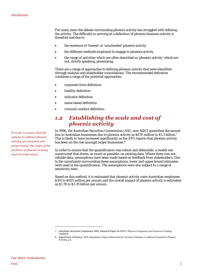For many years the debate surrounding phoenix activity has struggled with defining the activity. The difficulty in arriving at a definition of phoenix business activity is threefold and due to

- the existence of 'honest' or 'unintended' phoenix activity
- the different methods employed to engage in phoenix activity
- the range of activities which are often described as 'phoenix activity' which are not, strictly speaking, phoenixing.

There are a range of approaches to defining phoenix activity that were identified through analysis and stakeholder consultations. The recommended definition combines a range of the potential approaches:

- corporate form definition
- liability definition
- indicator definition
- name based definition
- criminal conduct definition.

## <span id="page-9-0"></span>*1.2 Establishing the scale and cost of phoenix activity*

In 1996, the Australian Securities Commission (ASC, now ASIC) quantified the annual loss to Australian businesses due to phoenix activity as \$6[7](#page-9-1)0 million to \$1.3 billion.<sup>7</sup> This is likely to have increased significantly as the ATO reports that phoenix activity has been on the rise amongst larger businesses.<sup>8</sup>

In order to ensure that the quantification was robust and defensible, a model was constructed that draws, as much as possible, on existing data. Where there was not reliable data, assumptions have been made based on feedback from stakeholders. Due to the uncertainty surrounding these assumptions, lower and upper bound estimates were used in the quantification. The assumptions were also subject to a range of sensitivity tests.

Based on this method, it is estimated that phoenix activity costs Australian employees \$191 to \$655 million per annum and the overall impact of phoenix activity is estimated as \$1.78 to \$3.19 billion per annum.

*In order to ensure that the options to address phoenix activity are targeted and proportional, the scope of the problem of phoenix activity must be understood.* 

<span id="page-9-1"></span><sup>7</sup> Australian Securities Commission 1996, Research Paper No 95/01- *Phoenix Companies and Insolvent Trading*, Canberra.

<span id="page-9-2"></span><sup>8</sup> Department of Finance, 2011. *Regulation Impact Statement for Taxation Changes to Address Fraudulent Phoenix Activity*, p 2.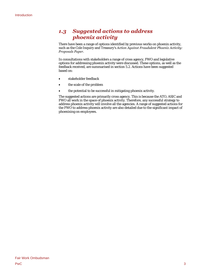# <span id="page-10-0"></span>*1.3 Suggested actions to address phoenix activity*

There have been a range of options identified by previous works on phoenix activity, such as the Cole Inquiry and Treasury's *Action Against Fraudulent Phoenix Activity: Proposals Paper.* 

In consultations with stakeholders a range of cross agency, FWO and legislative options for addressing phoenix activity were discussed. These options, as well as the feedback received, are summarised in section 5.2. Actions have been suggested based on:

- stakeholder feedback
- the scale of the problem
- the potential to be successful in mitigating phoenix activity.

The suggested actions are primarily cross agency. This is because the ATO, ASIC and FWO all work in the space of phoenix activity. Therefore, any successful strategy to address phoenix activity will involve all the agencies. A range of suggested actions for the FWO to address phoenix activity are also detailed due to the significant impact of phoenixing on employees.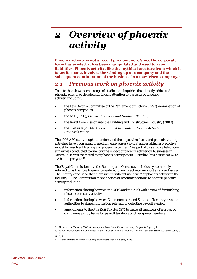# <span id="page-11-0"></span>Overview of phoenix  $\boldsymbol{2}$ activity

**Phoenix activity is not a recent phenomenon. Since the corporate form has existed, it has been manipulated and used to avoid liabilities. Phoenix activity, like the mythical creature from which it takes its name, involves the winding up of a company and the subsequent continuation of the business in a new 'risen' company[.9](#page-11-2)** 

# <span id="page-11-1"></span>*2.1 Previous work on phoenix activity*

To date there have been a range of studies and inquiries that directly addressed phoenix activity or devoted significant attention to the issue of phoenix activity, including:

- the Law Reform Committee of the Parliament of Victoria (1993) examination of phoenix companies
- the ASC (1996), *Phoenix Activities and Insolvent Trading*
- the Royal Commission into the Building and Construction Industry (2003)
- the Treasury (2009), *Action against Fraudulent Phoenix Activity: Proposals Paper*

The 1996 ASC study sought to understand the impact insolvent and phoenix trading activities have upon small to medium enterprises (SMEs) and establish a predictive model for insolvent trading and phoenix activities.[10 A](#page-11-3)s part of this study a telephone survey was conducted to quantify the impact of phoenix activity on businesses in Australia. It was estimated that phoenix activity costs Australian businesses \$0.67 to 1.3 billion per year.<sup>11</sup>

The Royal Commission into the Building and Construction Industry, commonly referred to as the Cole Inquiry, considered phoenix activity amongst a range of issues. The Inquiry concluded that there was 'significant incidence' of phoenix activity in the industry.[12 T](#page-11-5)he Commission made a series of recommendations to address phoenix activity including

- information sharing between the ASIC and the ATO with a view of diminishing phoenix company activity
- information sharing between Commonwealth and State and Territory revenue authorities to share information relevant to detecting payroll evasion
- amendments to the *Pay Roll Tax Act* 1971 to make all members of a group of companies jointly liable for payroll tax debts of other group members

<span id="page-11-2"></span><sup>9</sup> The Australia Treasury 2009, *Action against Fraudulent Phoenix Activity: Proposals Paper*, p 1.

<span id="page-11-3"></span><sup>10</sup> Barlow, Darren 1996, *Phoenix Activities and Insolvent Trading, prepared for the Australian Securities Commission*, p 10.

<span id="page-11-4"></span><sup>11</sup> Ibid.

<span id="page-11-5"></span><sup>12</sup> *Royal Commission into the Building and Constructions Industry*, p 108.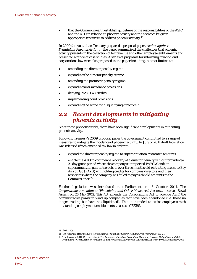that the Commonwealth establish guidelines of the responsibilities of the ASIC and the ATO in relation to phoenix activity and the agencies be given appropriate resources to address phoenix activity[.13](#page-12-1)

In 2009 the Australian Treasury prepared a proposal paper, *Action against Fraudulent Phoenix Activity*. The paper summarised the challenges that phoenix activity presents in the collection of tax revenue and other employee entitlements and presented a range of case studies. A series of proposals for reforming taxation and corporations law were also proposed in the paper including, but not limited to:

- amending the director penalty regime
- expanding the director penalty regime
- amending the promoter penalty regime
- expanding anti-avoidance provisions
- denying PAYG (W) credits
- implementing bond provisions
- expanding the scope for disqualifying directors.<sup>14</sup>

# <span id="page-12-0"></span>*2.2 Recent developments in mitigating phoenix activity*

Since these previous works, there have been significant developments in mitigating phoenix activity.

Following Treasury's 2009 proposal paper the government committed to a range of measures to mitigate the incidence of phoenix activity. In July of 2011 draft legislation was released which amended tax law in order to:

- expand the director penalty regime to superannuation guarantee amounts
- enable the ATO to commence recovery of a director penalty without providing a 21 day grace period where the company's unreported PAYGW and/or superannuation guarantee debt is over three months old restricting access to Pay As You Go (PAYG) withholding credits for company directors and their associates where the company has failed to pay withheld amounts to the Commissioner.[15](#page-12-3)

Further legislation was introduced into Parliament on 13 October 2011. The *Corporations Amendment (Phoenixing and Other Measures) Act 2012* received Royal Assent on 26 May 2012. This Act amends the Corporations Act to provide ASIC the administrative power to wind up companies that have been abandoned (i.e. those no longer trading but have not liquidated). This is intended to assist employees with outstanding employment entitlements to access GEERS.

<span id="page-12-1"></span><sup>13</sup> Ibid, p 109-11.

<span id="page-12-2"></span><sup>14</sup> The Australia Treasury 2009, *Action against Fraudulent Phoenix Activity: Proposals Paper*, p13-21.

<span id="page-12-3"></span><sup>15</sup> The Treasury, 2011. *Exposure Draft- Tax Law Amendments to Strengthen Company Director Obligations and Deter Fraudulent Phoenix Activity*. Available at: http://www.treasury.gov.au/contentitem.asp?NavId=037&ContentID=2073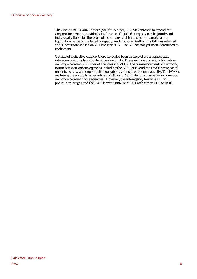The *Corporations Amendment (Similar Names) Bill 2012* intends to amend the Corporations Act to provide that a director of a failed company can be jointly and individually liable for the debts of a company that has a similar name to a preliquidation name of the failed company. An Exposure Draft of this Bill was released and submissions closed on 29 February 2012. The Bill has not yet been introduced to Parliament.

Outside of legislative change, there have also been a range of cross agency and interagency efforts to mitigate phoenix activity. These include ongoing information exchange between a number of agencies via MOUs, the commencement of a working forum between various agencies including the ATO, ASIC and the FWO in respect of phoenix activity and ongoing dialogue about the issue of phoenix activity. The FWO is exploring the ability to enter into an MOU with ASIC which will assist in information exchange between those agencies. However, the interagency forum is still in preliminary stages and the FWO is yet to finalise MOUs with either ATO or ASIC.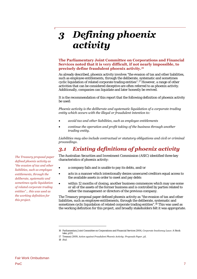# <span id="page-14-0"></span>Defining phoenix  $\overline{\mathbf{3}}$ activity

#### **The Parliamentary Joint Committee on Corporations and Financial Services noted that it is very difficult, if not nearly impossible, to precisely define fraudulent phoenix activity.[16](#page-14-2)**

As already described, phoenix activity involves "the evasion of tax and other liabilities, such as employee entitlements, through the deliberate, systematic and sometimes cyclic liquidation of related corporate trading entities".[17 H](#page-14-3)owever, a range of other activities that can be considered deceptive are often referred to as phoenix activity. Additionally, companies can liquidate and later honestly be revived.

It is the recommendation of this report that the following definition of phoenix activity be used:

*Phoenix activity is the deliberate and systematic liquidation of a corporate trading entity which occurs with the illegal or fraudulent intention to:* 

- *avoid tax and other liabilities, such as employee entitlements*
- *continue the operation and profit taking of the business through another trading entity.*

*Liabilities may also include contractual or statutory obligations and civil or criminal proceedings*.

# <span id="page-14-1"></span>*3.1 Existing definitions of phoenix activity*

The Australian Securities and Investment Commission (ASIC) identified three key characteristics of phoenix activity:

- a company fails and is unable to pay its debts, and/or
- acts in a manner which intentionally denies unsecured creditors equal access to the available assets in order to meet and pay debts
- within 12 months of closing, another business commences which may use some or all of the assets of the former business and is controlled by parties related to either the management or directors of the previous company.

The Treasury proposal paper defined phoenix activity as "the evasion of tax and other liabilities, such as employee entitlements, through the deliberate, systematic and sometimes cyclic liquidation of related corporate trading entities"[.18](#page-14-4) This was used as the working definition for this project, and broadly stakeholders felt it was appropriate.

18 *Ibid.* 

*The Treasury proposal paper defined phoenix activity as "the evasion of tax and other liabilities, such as employee entitlements, through the deliberate, systematic and sometimes cyclic liquidation of related corporate trading entities"… this was used as the working definition for this project.* 

<span id="page-14-2"></span><sup>16</sup> Parliamentary Joint Committee on Corporations and Financial Services 2004, *Corporate Insolvency Laws*: A Stock take, p131.

<span id="page-14-4"></span><span id="page-14-3"></span><sup>17</sup> Treasury 2009, *Action against Fraudulent Phoenix Activity: Proposals Paper*, p1.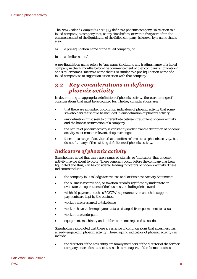The New Zealand *Companies Act 1993* defines a phoenix company "in relation to a failed company, a company that, at any time before, or within five years after, the commencement of the liquidation of the failed company, is known by a name that is also:

- a) a pre-liquidation name of the failed company, or
- b) a similar name."

A pre-liquidation name refers to "any name (including any trading name) of a failed company in the 12 months before the commencement of that company's liquidation" and similar names "means a name that is so similar to a pre-liquidation name of a failed company as to suggest an association with that company".

# <span id="page-15-0"></span>*3.2 Key considerations in defining phoenix activity*

In determining an appropriate definition of phoenix activity, there are a range of considerations that must be accounted for. The key considerations are:

- that there are a number of common indicators of phoenix activity that some stakeholders felt should be included in any definition of phoenix activity
- any definition must seek to differentiate between fraudulent phoenix activity and the honest resurrection of a company
- the nature of phoenix activity is constantly evolving and a definition of phoenix activity must remain relevant, despite changes
- there are a range of activities that are often referred to as phoenix activity, but do not fit many of the existing definitions of phoenix activity.

# *Indicators of phoenix activity*

Stakeholders noted that there are a range of 'signals' or 'indicators' that phoenix activity may be about to occur. These generally occur before the company has been liquidated and thus, can be considered leading indicators of phoenix activity. These indicators include:

- the company fails to lodge tax returns and/or Business Activity Statements
- the business records and/or taxation records significantly understate or overstate the operations of the business, including debts owed
- withheld payments such as PAYGW, superannuation and child support payments are kept by the business
- workers are pressured to take leave
- workers have their employment status changed from permanent to casual
- workers are underpaid
- equipment, machinery and uniforms are not replaced as needed.

Stakeholders also noted that there are a range of common signs that a business has already engaged in phoenix activity. These lagging indicators of phoenix activity can include:

 the directors of the new entity are family members of the director of the former company or are close associates, such as managers, of the former business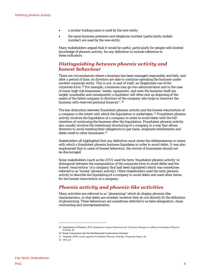- a similar trading name is used by the new entity
- the same business premises and telephone number (particularly mobile number) are used by the new entity.

Many stakeholders argued that it would be useful, particularly for people with limited knowledge of phoenix activity, for any definition to include reference to these indicators.

#### *Distinguishing between phoenix activity and honest behaviour*

There are circumstances where a business has been managed responsibly and fails, and after a period of time, its directors are able to continue operating the business under another corporate entity. This is not, in and of itself, an illegitimate use of the corporate form[.19](#page-16-0) For example, a business may go into administration and in the case of many high risk businesses "assets, equipment, and even the business itself are largely unsaleable and consequently a liquidator will often end up disposing of the assets of the failed company to directors of the company who hope to resurrect the business with reserved personal finances". [20](#page-16-1)

The key distinction between fraudulent phoenix activity and the honest resurrection of a company is the intent with which the liquidation is undertaken.[21 F](#page-16-2)raudulent phoenix activity involves the liquidation of a company in order to avoid debts with the full intention of continuing the business after the liquidation. Fraudulent phoenix activity also usually involves the intentional structuring of a company in a way that allows directors to avoid meeting their obligations to pay taxes, employee entitlements and debts owed to other businesses.<sup>22</sup>

Stakeholders all highlighted that any definition must stress the deliberateness or intent with which a fraudulent phoenix business liquidates in order to avoid debts. It was also emphasised that in cases of honest behaviour, the revival of businesses should not be discouraged.

Some stakeholders (such as the ATO) used the term 'fraudulent phoenix activity' to distinguish between the manipulation of the corporate form to avoid debts and the honest 'resurrection' of a company that had been liquidated (which was sometimes referred to as 'honest' phoenix activity). Other stakeholders used the term phoenix activity to describe the liquidating of a company to avoid debts and used other terms for the honest resurrection of a company.

#### *Phoenix activity and phoenix-like activities*

Many activities are referred to as "phoenixing" which do display phoenix-like characteristics, in that debts are avoided; however they do not directly fit the definition of phoenixing. These behaviours are sometimes referred to as false designation, sham contracting and misrepresentation.

<span id="page-16-0"></span><sup>19</sup> Department of Finance, 2011. *Regulation Impact Statement for Taxation Changes to Address Fraudulent Phoenix Activity*, p1.

<span id="page-16-2"></span><span id="page-16-1"></span><sup>20</sup> Royal Commission into the Building and Constructions Industry

<sup>21</sup> Treasury 2009, *Action against Fraudulent Phoenix Activity: Proposals Paper*, p1.

<span id="page-16-3"></span><sup>22</sup> *Ibid*, p1.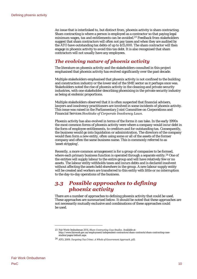An issue that is interlinked to, but distinct from, phoenix activity is sham contracting. Sham contracting is where a person is employed as a contractor so that paying legal minimum wages, tax and entitlements can be avoided.<sup>23</sup> Feedback from stakeholders suggest that sham contractors will often not pay taxes and when they are audited by the ATO have outstanding tax debts of up to \$15,000. The sham contractor will then engage in phoenix activity to avoid this tax debt. It is also recognised that sham contractors will not usually have any employees.

# *The evolving nature of phoenix activity*

The literature on phoenix activity and the stakeholders consulted in this project emphasised that phoenix activity has evolved significantly over the past decade.

Multiple stakeholders emphasised that phoenix activity is not confined to the building and construction industry or the lower end of the SME sector as it perhaps once was. Stakeholders noted the rise of phoenix activity in the cleaning and private security industries, with one stakeholder describing phoenixing in the private security industry as being at endemic proportions.

Multiple stakeholders observed that it is often suspected that financial advisers, lawyers and insolvency practitioners are involved in some incidents of phoenix activity. This issue was raised in the Parliamentary Joint Committee on Corporations and Financial Services *Stocktake of Corporate Insolvency Laws*.

Phoenix activity has also evolved in terms of the forms it can take. In the early 1990s the most common forms of phoenix activity were where a company would incur debt in the form of employee entitlements, to creditors and for outstanding tax. Consequently, the business would go into liquidation or administration. The directors of the company would then form a new entity, often using some or all of the assets of the former company and often the same business name. This is commonly referred to as 'asset stripping'.

Recently, a more common arrangement is for a group of companies to be formed, where each primary business function is operated through a separate entity.<sup>24</sup> One of the entities will supply labour to the entire group and will have relatively few or no assets. The labour entity withholds taxes and incurs debts and is declared insolvent without affecting the assets held elsewhere in the group. A new labour supply entity will be created and workers are transferred to this entity with little or no interruption to the day-to-day operations of the business.

# <span id="page-17-0"></span>*3.3 Possible approaches to defining phoenix activity*

There are a number of approaches to defining phoenix activity that could be used. These approaches are summarised below. It should be noted that these approaches are not necessarily mutually exclusive and combinations of these approaches could be used.

<span id="page-17-1"></span><sup>23</sup> Fair Work Ombudsman 2011, *Sham Contracting Case Studies*. Available at: http://www.fairwork.gov.au/employment/independent-contractors/sham-contracts/sham-contracting-casestudies/pages/default.aspx

<span id="page-17-2"></span><sup>24</sup> ATO, 2009. *Targeting Tax Crime: A Whole of Government Approach,* p15.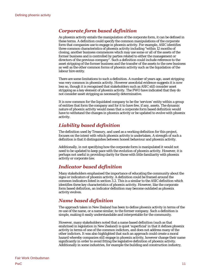#### *Corporate form based definition*

As phoenix activity entails the manipulation of the corporate form, it can be defined in these terms. A definition could specify the common manipulations of the corporate form that companies use to engage in phoenix activity. For example, ASIC identifies three common characteristics of phoenix activity including "within 12 months of closing, another business commences which may use some or all of the assets of the former business and is controlled by parties related to either the management or directors of the previous company". Such a definition could include reference to the asset stripping of the former business and the transfer of the assets to the new business as well as the other common forms of phoenix activity such as the liquidation of the labour hire entity.

There are some limitations to such a definition. A number of years ago, asset stripping was very common in phoenix activity. However anecdotal evidence suggests it is now less so, though it is recognised that stakeholders such as ASIC still consider asset stripping as a key element of phoenix activity. The FWO have indicated that they do not consider asset stripping as necessarily determinative.

It is now common for the liquidated company to be the 'services' entity within a group of entities that form the company and for it to have few, if any, assets. The dynamic nature of phoenix activity would mean that a corporate form based definition would have to withstand the changes in phoenix activity or be updated to evolve with phoenix activity.

### *Liability based definition*

The definition used by Treasury, and used as a working definition for this project, focuses on the intent with which phoenix activity is undertaken. A strength of such a definition is that it distinguishes between honest behaviour and phoenix activity.

Additionally, in not specifying how the corporate form is manipulated it would not need to be updated to keep pace with the evolution of phoenix activity. However, it is perhaps not useful in providing clarity for those with little familiarity with phoenix activity or corporate law.

#### *Indicator based definition*

Many stakeholders emphasised the importance of educating the community about the signs or indicators of phoenix activity. A definition could be framed around the common indicators listed in section 3.2. This is a similar to the ASIC definition which identifies three key characteristics of phoenix activity. However, like the corporate form based definition, an indicator definition may become outdated as phoenix activity evolves.

#### *Name based definition*

The approach taken in New Zealand has been to define phoenix activity in terms of the re-use of the name, or a name similar, to the former company. Such a definition is simple, making it easily understandable and interpretable for the community.

However, many stakeholders noted that a name based definition (such as that enshrined in legislation in New Zealand) is quiet 'superficial' in that it defines phoenix activity in terms of one of the common indictors, and does not address many of the other indictors. It was also highlighted that such an approach could create a moral hazard whereby companies still engage in phoenix activity, however change their name significantly in order to avoid fitting the legislative definition of phoenix activity. Additionally in some industries, for example the building and construction industry,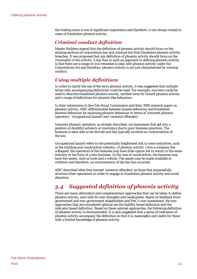the trading name is not of significant importance and therefore, is not always reused in cases of fraudulent phoenix activity.

### *Criminal conduct definition*

Master Builders argued that the definition of phoenix activity should focus on the existing sections of corporations law and criminal law that fraudulent phoenix activity breaches. It was proposed that any definition of phoenix activity should focus on the criminality of the activity. A key flaw in such an approach to defining phoenix activity is that there are a range of civil remedies to deal with phoenix activity under the Corporations Act and therefore, phoenix activity is not just characterised by criminal conduct.

# *Using multiple definitions*

In order to clarify the use of the term phoenix activity, it was suggested that multiple terms with accompanying definitions could be used. For example, one term could be used to describe fraudulent phoenix activity, another term for honest phoenix activity and a range of definitions for phoenix-like behaviour.

In their submission to the Cole Royal Commission and their 1996 research paper on phoenix activity, ASIC differentiated between honest behaviour and fraudulent phoenix behaviour by analysing phoenix behaviour in terms of 'innocent phoenix operators', 'occupational hazard' and 'careerist offenders'.

Innocent phoenix operators, as already described, are businesses that get into a position of doubtful solvency or insolvency due to poor business practices. The business is later able to be revived and this typically involves no contravention of the law.

Occupational hazard refers to the potentially heightened risk in some industries, such as the building and construction industry, of phoenix activity. Once a company has collapsed, the operators of the business may have little option but to return to the same industry in the form of a new business. In the case of construction, the business may have few assets, such as tools and a vehicle. The assets may be made available to creditors and therefore, no contravention of the law has occurred.

ASIC described what they termed 'careerist offenders' as those that purposefully structure their operations in order to engage in fraudulent phoenix activity and avoid detection.

# <span id="page-19-0"></span>*3.4 Suggested definition of phoenix activity*

There are many alternative and complementary approaches that can be taken to define phoenix activity, each with its own strengths and weaknesses. Based on feedback from government and non-government stakeholders and PwC's own assessment, the two approaches that are considered optimal are the liability based definition and the indicator based definition. Based on these optimal approaches, the following definition of phoenix activity is recommended. It is also suggested that a series of indicators of phoenix activity accompany the definition so that it is meaningful and useful for those with a limited knowledge of phoenix activity.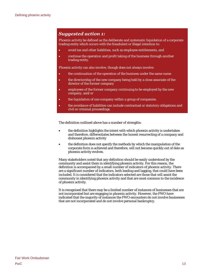# *Suggested action 1:*

Phoenix activity be defined as the deliberate and systematic liquidation of a corporate trading entity which occurs with the fraudulent or illegal intention to:

- avoid tax and other liabilities, such as employee entitlements, and
- continue the operation and profit taking of the business through another trading entity.

Phoenix activity can also involve, though does not always involve:

- the continuation of the operation of the business under the same name
- the directorship of the new company being held by a close associate of the director of the former company
- employees of the former company continuing to be employed by the new company, and/or
- the liquidation of one company within a group of companies.
- the avoidance of liabilities can include contractual or statutory obligations and civil or criminal proceedings.

The definition outlined above has a number of strengths:

- the definition highlights the intent with which phoenix activity is undertaken and therefore, differentiates between the honest resurrecting of a company and dishonest phoenix activity
- the definition does not specify the methods by which the manipulation of the corporate form is achieved and therefore, will not become quickly out of date as phoenix activity evolves.

Many stakeholders noted that any definition should be easily understood by the community and assist them in identifying phoenix activity. For this reason, the definition is accompanied by a small number of indicators of phoenix activity. There are a significant number of indicators, both leading and lagging, that could have been included. It is considered that the indicators selected are those that will assist the community in identifying phoenix activity and that are most common to the incidence of phoenix activity.

It is recognised that there may be a limited number of instances of businesses that are not incorporated but are engaging in phoenix activity. However, the FWO have indicated that the majority of instances the FWO encounters do not involve businesses that are not incorporated and do not involve personal bankruptcy.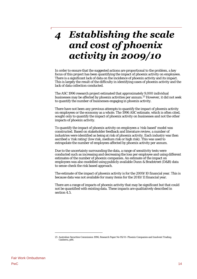# <span id="page-21-0"></span>**Establishing the scale**  $\overline{\mathcal{A}}$ and cost of phoenix activity in 2009/10

In order to ensure that the suggested actions are proportional to the problem, a key focus of this project has been quantifying the impact of phoenix activity on employees. There is a significant lack of data on the incidence of phoenix activity and its impact. This is largely the result of the difficulty in identifying cases of phoenix activity and the lack of data collection conducted.

The ASC 1996 research project estimated that approximately 9,000 individual businesses may be affected by phoenix activities per annum.[25 H](#page-21-1)owever, it did not seek to quantify the number of businesses engaging in phoenix activity.

There have not been any previous attempts to quantify the impact of phoenix activity on employees or the economy as a whole. The 1996 ASC estimate, which is often cited, sought only to quantify the impact of phoenix activity on businesses and not the other impacts of phoenix activity.

To quantify the impact of phoenix activity on employees a 'risk-based' model was constructed. Based on stakeholder feedback and literature review, a number of industries were identified as being at risk of phoenix activity. Each industry was then ascribed a 'risk rating' (low risk, medium risk or high risk). This was used to extrapolate the number of employees affected by phoenix activity per annum.

Due to the uncertainty surrounding the data, a range of sensitivity tests were conducted such as increasing and decreasing the loss per employee and using different estimates of the number of phoenix companies. An estimate of the impact on employees was also modelled using publicly available Dunn & Bradstreet (D&B) data to sense-check the risk based approach.

The estimate of the impact of phoenix activity is for the 2009/10 financial year. This is because data was not available for many items for the 2010/11 financial year.

There are a range of impacts of phoenix activity that may be significant but that could not be quantified with existing data. These impacts are qualitatively described in section 4.5.

<span id="page-21-1"></span><sup>25</sup> Australian Securities Commission 1996, Research Paper No 95/01- Phoenix Companies and Insolvent Trading, Canberra, p86.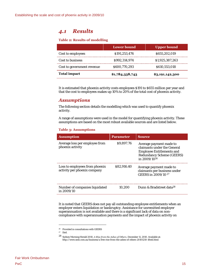# <span id="page-22-0"></span>*4.1 Results*

#### **Table 2: Results of modelling**

|                            | Lower bound     | <b>Upper bound</b> |
|----------------------------|-----------------|--------------------|
| Cost to employees          | \$191,253,476   | \$655,202,019      |
| Cost to business           | \$992.314.974   | \$1,925,387,263    |
| Cost to government revenue | \$600,770,293   | \$610,553,018      |
| <b>Total impact</b>        | \$1,784,338,743 | \$3,191,142,300    |

It is estimated that phoenix activity costs employees \$191 to \$655 million per year and that the cost to employees makes up 10% to 20% of the total cost of phoenix activity.

#### *Assumptions*

The following section details the modelling which was used to quantify phoenix activity.

A range of assumptions were used in the model for quantifying phoenix activity. These assumptions are based on the most robust available sources and are listed below.

#### **Table 3: Assumptions**

| <b>Assumption</b>                                              | <b>Parameter</b> | <b>Source</b>                                                                                                                                       |
|----------------------------------------------------------------|------------------|-----------------------------------------------------------------------------------------------------------------------------------------------------|
| Average loss per employee from<br>phoenix activity             | \$9,897.76       | Average payment made to<br>claimants under the General<br><b>Employee Entitlements and</b><br><b>Redundancy Scheme (GEERS)</b><br>in $2009/10^{26}$ |
| Loss to employees from phoenix<br>activity per phoenix company | \$82,916.40      | Average payment made to<br>claimants per business under<br>GEERS in 2009/10 <sup>27</sup>                                                           |
| Number of companies liquidated<br>in $2009/10$                 | 10.200           | Dunn & Bradstreet data <sup>28</sup>                                                                                                                |

It is noted that GEERS does not pay all outstanding employee entitlements when an employer enters liquidation or bankruptcy. Assistance for unremitted employer superannuation is not available and there is a significant lack of data on noncompliance with superannuation payments and the impact of phoenix activity on

<span id="page-22-1"></span><sup>26</sup> Provided in consultations with GEERS

<span id="page-22-2"></span><sup>27</sup> Ibid.

<span id="page-22-3"></span><sup>28</sup> Sydney Morning Herald 2010, *A Rise from the Ashes of Others*, December 11, 2010. Available at: http://www.smh.com.au/business/a-free-rise-from-the-ashes-of-others-20101210-18std.html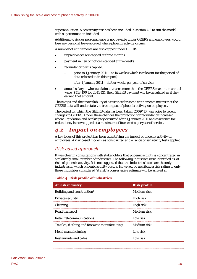superannuation. A sensitivity test has been included in section 4.2 to run the model with superannuation included.

Additionally, sick or personal leave is not payable under GEERS and employees would lose any personal leave accrued where phoenix activity occurs.

A number of entitlements are also capped under GEERS:

- unpaid wages are capped at three months
- payment in lieu of notice is capped at five weeks
- redundancy pay is capped:
	- prior to 1 January 2011 at 16 weeks (which is relevant for the period of data referred to in this report).
	- after 1 January 2011 at four weeks per year of service.
- annual salary where a claimant earns more than the GEERS maximum annual wage (\$118,100 for 2011-12), their GEERS payment will be calculated as if they earned that amount.

These caps and the unavailability of assistance for some entitlements means that the GEERS data will understate the true impact of phoenix activity on employees.

The period for which the GEERS data has been taken, 2009/10, was prior to recent changes to GEERS. Under these changes the protection for redundancy increased where liquidation and bankruptcy occurred after 1 January 2011 and assistance for redundancy is now capped at a maximum of four weeks per year of service.

# <span id="page-23-0"></span>*4.2 Impact on employees*

A key focus of this project has been quantifying the impact of phoenix activity on employees. A risk based model was constructed and a range of sensitivity tests applied.

#### <span id="page-23-1"></span>*Risk based approach*

It was clear in consultations with stakeholders that phoenix activity is concentrated in a relatively small number of industries. The following industries were identified as 'at risk' of phoenix activity. It is not suggested that the industries listed are the only industries in which phoenix activity occurs. However, by ascribing a risk rating to only those industries considered 'at risk' a conservative estimate will be arrived at.

#### **Table 4: Risk profile of industries**

| At risk industry                              | <b>Risk profile</b> |
|-----------------------------------------------|---------------------|
| Building and construction <sup>1</sup>        | Medium risk         |
| Private security                              | High risk           |
| Cleaning                                      | High risk           |
| Road transport                                | Medium risk         |
| Retail telecommunications                     | Low risk            |
| Textiles, clothing and footwear manufacturing | Medium risk         |
| Metal manufacturing                           | Low risk            |
| Restaurants and cafes                         | Low risk            |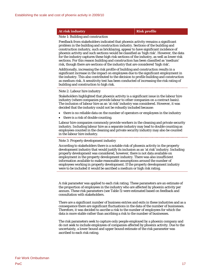#### **At risk industry Risk profile**

#### Note 1: Building and construction

Feedback from stakeholders indicated that phoenix activity remains a significant problem in the building and construction industry. Sections of the building and construction industry, such as bricklaying, appear to have significant incidence of phoenix activity and such sections would be classified as 'high risk'. However, the data for the industry captures these high risk sections of the industry, as well as lower risk sections. For this reason building and construction has been classified as 'medium' risk, though there are sections of the industry that are considered 'high risk'.

Additionally, increasing the risk profile of building and construction results in a significant increase in the impact on employees due to the significant employment in the industry. This also contributed to the decision to profile building and construction as medium risk. A sensitivity test has been conducted of increasing the risk rating of building and construction to high risk.

#### Note 2: Labour hire industry

Stakeholders highlighted that phoenix activity is a significant issue in the labour hire industry (where companies provide labour to other companies on a contract basis). The inclusion of labour hire as an 'at risk' industry was considered. However, it was decided that the industry could not be robustly included because:

- there is no reliable data on the number of operators or employees in the industry
- there is a risk of double counting.

Labour hire companies commonly provide workers in the cleaning and private security industry. Including labour hire as a separate industry may lead to double counting as employees counted in the cleaning and private security industry may also be counted in the labour hire industry.

#### Note 3: Property development industry

According to stakeholders there is a notable risk of phoenix activity in the property development industry that would justify its inclusion as an 'at risk' industry. Including property development was considered, however, there is not data available on employment in the property development industry. There was also insufficient information available to make reasonable assumptions around the number of employees working in property development. If the property development industry were to be included it would be ascribed a medium or high risk rating.

A risk parameter was applied to each risk rating. These parameters are an estimate of the proportion of employees in the industry who are affected by phoenix activity per annum. These risk parameters (see Table 5) were estimated based on feedback and consultation with stakeholders.

There are a significant number of business entries and exits in these industries and as a consequence there are significant fluctuations in the data of the number of businesses. Therefore, it was decided to ascribe a risk to the number of employees for which the data is more stable rather than ascribing a risk to the number of businesses.

The risk parameters seek to capture only people employed by a phoenix company and do not seek to include employees of companies affected by phoenix activity. Due to the uncertainty, a lower bound and upper bound estimate of the risk parameter was ascribed to each risk rating.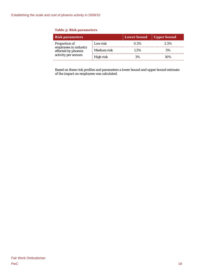#### **Table 5: Risk parameters**

| <b>Risk parameters</b>                       |             | <b>Lower bound</b> | Upper bound |
|----------------------------------------------|-------------|--------------------|-------------|
| Proportion of                                | Low risk    | 0.5%               | 2.5%        |
| employees in industry<br>effected by phoenix | Medium risk | 1.5%               | 5%          |
| activity per annum                           | High risk   | 3%                 | 10%         |

Based on these risk profiles and parameters a lower bound and upper bound estimate of the impact on employees was calculated.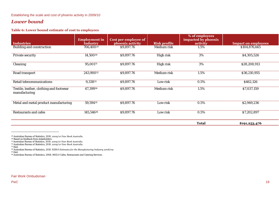#### Establishing the scale and cost of phoenix activity in 2009/10

#### *Lower bound*

#### **Table 6: Lower bound estimate of cost to employees**

|                                                          | <b>Employment in</b>  | Cost per employee of |                     | % of employees<br>impacted by phoenix |                            |
|----------------------------------------------------------|-----------------------|----------------------|---------------------|---------------------------------------|----------------------------|
| <b>Industries</b>                                        | <b>Industry</b>       | phoenix activity     | <b>Risk profile</b> | activity                              | <b>Impact on employees</b> |
| Building and construction                                | 706,400 <sup>29</sup> | \$9,897.76           | Medium risk         | 1.5%                                  | \$104,876,665              |
| Private security                                         | 14,50030              | \$9,897.76           | High risk           | 3%                                    | \$4,305,526                |
| Cleaning                                                 | 95,00131              | \$9,897.76           | High risk           | 3%                                    | \$28,208,913               |
| Road transport                                           | 243,90032             | \$9,897.76           | Medium risk         | 1.5%                                  | \$36,210,955               |
| Retail telecommunications                                | 9,33833               | \$9,897.76           | Low risk            | 0.5%                                  | \$462,126                  |
| Textile, leather, clothing and footwear<br>manufacturing | 47,39934              | \$9,897.76           | Medium risk         | 1.5%                                  | \$7,037,159                |
| Metal and metal product manufacturing                    | 59,59435              | \$9,897.76           | Low risk            | $0.5\%$                               | \$2,949,236                |
| <b>Restaurants and cafes</b>                             | 145,54636             | \$9,897.76           | Low risk            | $0.5\%$                               | \$7,202,897                |
|                                                          |                       |                      |                     | <b>Total</b>                          | \$191,253,476              |

<sup>29</sup> Australian Bureau of Statistics, 2010. *2009/10 Year Book Australia*.

<sup>30</sup> Based on feedback from stakeholders.

<sup>&</sup>lt;sup>30</sup> Based on feedback from stakeholders.<br><sup>31</sup> Australian Bureau of Statistics, 2010. *2009/10 Year Book Australia.*<br><sup>32</sup> Australian Bureau of Statistics, 2010. *2009/10 Year Book Australia*.

<sup>33</sup> Ibid.

<sup>&</sup>lt;sup>33</sup> Ibid.<br><sup>34</sup> Australian Bureau of Statistics, 2010. 8159.0 *Estimates for the Manufacturing Industry 2008/09*.

 $35$  Ibid.

<sup>&</sup>lt;sup>35</sup> Ibid.<br><sup>36</sup> Australian Bureau of Statistics, 2008. 8655.0 Cafes, Restaurants and Catering Services.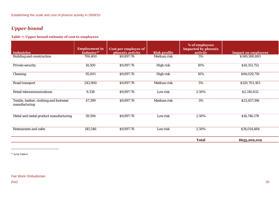# *Upper bound*

#### **Table 7: Upper bound estimate of cost to employees**

|                                                          | <b>Employment</b> in   | Cost per employee of |                     | % of employees<br>impacted by phoenix |                            |
|----------------------------------------------------------|------------------------|----------------------|---------------------|---------------------------------------|----------------------------|
| <b>Industries</b>                                        | Industry <sup>37</sup> | phoenix activity     | <b>Risk profile</b> | activity                              | <b>Impact on employees</b> |
| Building and construction                                | 706,400                | \$9,897.76           | Medium risk         | 5%                                    | \$349,588,883              |
| Private security                                         | 14,500                 | \$9,897.76           | High risk           | 10%                                   | \$14,351,752               |
| Cleaning                                                 | 95,001                 | \$9,897.76           | High risk           | 10%                                   | \$94,029,710               |
| Road transport                                           | 243,900                | \$9,897.76           | Medium risk         | 5%                                    | \$120,703,183              |
| Retail telecommunications                                | 9,338                  | \$9,897.76           | Low risk            | 2.50%                                 | \$2,310,632                |
| Textile, leather, clothing and footwear<br>manufacturing | 47,399                 | \$9,897.76           | Medium risk         | 5%                                    | \$23,457,196               |
| Metal and metal product manufacturing                    | 59,594                 | \$9,897.76           | Low risk            | 2.50%                                 | \$14,746,178               |
| Restaurants and cafes                                    | 145,546                | \$9,897.76           | Low risk            | 2.50%                                 | \$36,014,484               |
|                                                          |                        |                      |                     | <b>Total</b>                          | \$655,202,019              |

<sup>37</sup> As for Table 6.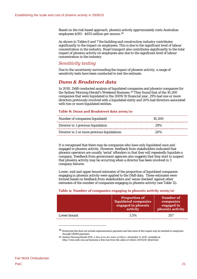Based on the risk based approach, phoenix activity approximately costs Australian employees \$191– \$655 million per annum[.38](#page-28-1) 

As shown in Tables 6 and 7 the building and construction industry contributes significantly to the impact on employees. This is due to the significant level of labour concentration in the industry. Road transport also contributes significantly to the total impact of phoenix activity on employees also due to the significant level of labour concentration in the industry.

#### <span id="page-28-0"></span>*Sensitivity testing*

Due to the uncertainty surrounding the impact of phoenix activity, a range of sensitivity tests have been conducted to test the estimate.

#### *Dunn & Bradstreet data*

In 2010, D&B conducted analysis of liquidated companies and phoenix companies for the Sydney Morning Herald's Weekend Business.<sup>39</sup> They found that of the 10,200 companies that were liquidated in the 2009/10 financial year, 29% had one or more directors previously involved with a liquidated entity and 20% had directors associated with two or more liquidated entities.

#### **Table 8: Dunn and Bradstreet data 2009/10**

| Number of companies liquidated              | 10.200 |
|---------------------------------------------|--------|
| Director in 1 previous liquidation          | 2.9%   |
| Director in 2 or more previous liquidations | 20%    |

It is recognised that there may be companies who have only liquidated once and engaged in phoenix activity. However, feedback from stakeholders indicated that phoenix operators are usually 'serial' offenders in that they will repeatedly liquidate a company. Feedback from government agencies also suggests that they start to suspect that phoenix activity may be occurring when a director has been involved in 3 company failures.

Lower, mid and upper bound estimates of the proportion of liquidated companies engaging in phoenix activity were applied to the D&B data. These estimates were formed based on feedback from stakeholders and 'sense checked' against other estimates of the number of companies engaging in phoenix activity (see Table 11).

#### **Table 9: Number of companies engaging in phoenix activity 2009/10**

|             | <b>Proportion of</b><br>liquidated companies<br>engaged in phoenix<br>activity | Number of<br>companies<br>engaged in<br>phoenix activity |
|-------------|--------------------------------------------------------------------------------|----------------------------------------------------------|
| Lower bound | 3.5%                                                                           | 357                                                      |

<span id="page-28-1"></span><sup>38</sup> Noting that this does not include superannuation payments and that some of this impact may be remitted to employees through GEERS payments.

<span id="page-28-2"></span><sup>39</sup> Sydney Morning Herald 2010, *A Rise from the Ashes of Others*, December 11, 2010. Available at: http://www.smh.com.au/business/a-free-rise-from-the-ashes-of-others-20101210-18std.html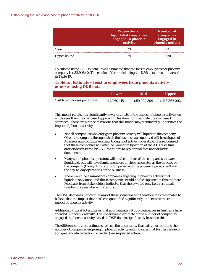|             | <b>Proportion of</b><br>liquidated companies<br>engaged in phoenix<br>activity | Number of<br>companies<br>engaged in<br>phoenix activity |
|-------------|--------------------------------------------------------------------------------|----------------------------------------------------------|
| Core        | 7%                                                                             | 714                                                      |
| Upper bound | 15%                                                                            | 1.530                                                    |

Calculated using GEERS data, it was estimated that the loss to employees per phoenix company is \$82,916.40. The results of the model using the D&B data are summarised in Table 10.

#### **Table 10: Estimate of cost to employees from phoenix activity 2009/10 using D&B data**

|                             | Lower        | Mid          | <b>Upper</b>  |
|-----------------------------|--------------|--------------|---------------|
| Cost to employees per annum | \$29,601.154 | \$59,202,309 | \$126,862,092 |

This model results in a significantly lower estimate of the impact of phoenix activity on employees than the risk based approach. This does not invalidate the risk based approach. There are a range of reasons that this model may significantly understate the impact of phoenix activity.

- Not all companies who engage in phoenix activity will liquidate the company. Often the company through which the business was operated will be stripped of its assets and continue existing, though not actively operating. It is recognised that these companies will often be wound up by action of the ATO over time and/or deregistered by ASIC for failure to pay annual fees and/or lodge documents.
- Many serial phoenix operators will not be director of the companies that are liquidated, but will have family members or close associates as the director of the company (though this is only 'on paper' and the phoenix operator will run the day-to-day operations of the business).
- There would be a number of companies engaging in phoenix activity that liquidate only once, and these companies would not be captured in this estimate. Feedback from stakeholders indicates that there would only be a very small number of cases where this occurs.

The D&B data does not capture any of these scenarios and therefore, it is reasonable to believe that the impact that has been quantified significantly understates the true impact of phoenix activity.

Additionally, the ATO estimates that approximately 6,000 companies in Australia have engaged in phoenix activity. The upper bound estimate of the number of companies engaged in phoenix activity based on D&B data is significantly less than this.

The difference in these estimates reflects the uncertainty that exists surrounding the number of companies engaging in phoenix activity and indicates that further research and greater data collection is needed (see suggested action 7).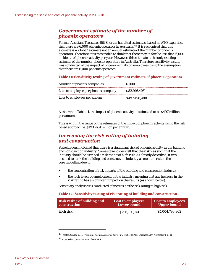### *Government estimate of the number of phoenix operators*

Former Assistant Treasurer Bill Shorten has cited estimates, based on ATO expertise, that there are 6,000 phoenix operators in Australia.[40 I](#page-30-1)t is recognised that this estimate is a 'global' estimate not an annual estimate of the number of phoenix operators. Therefore, it is reasonable to think that there may in fact be less than 6,000 incidents of phoenix activity per year. However, this estimate is the only existing estimate of the number phoenix operators in Australia. Therefore sensitivity testing was conducted of the impact of phoenix activity on employees using the assumption that there are 6,000 phoenix operators.

<span id="page-30-0"></span>**Table 11: Sensitivity testing of government estimate of phoenix operators** 

| Number of phoenix companies          | 6.000         |
|--------------------------------------|---------------|
| Loss to employee per phoenix company | \$82,916.4041 |
| Loss to employees per annum          | \$497,498,400 |

As shown in [Table 11](#page-30-0), the impact of phoenix activity is estimated to be \$497 million per annum.

This is within the range of the estimates of the impact of phoenix activity using the risk based approach ie. \$193 -661 million per annum.

#### *Increasing the risk rating of building and construction*

Stakeholders indicated that there is a significant risk of phoenix activity in the building and construction industry. Some stakeholders felt that the risk was such that the industry should be ascribed a risk rating of high risk. As already described, it was decided to rank the building and construction industry as medium risk in the core modelling due to:

- the concentration of risk in parts of the building and construction industry
- the high levels of employment in the industry meaning that any increase in the risk rating has a significant impact on the results (as shown below).

Sensitivity analysis was conducted of increasing the risk rating to high risk.

#### **Table 12: Sensitivity testing of risk rating of building and construction**

| <b>Risk rating of building and</b> | <b>Cost to employees</b> | Cost to employees  |
|------------------------------------|--------------------------|--------------------|
| construction                       | <b>Lower bound</b>       | <b>Upper bound</b> |
| High risk                          | \$296.130.141            | \$1,004,790,902    |

<span id="page-30-1"></span><sup>40</sup> Yeates, Clancy 2011. *Warning Phoenix Law May Burn Innocent*. The Age- Business Day, November 1, p. 21.

<span id="page-30-2"></span><sup>41</sup> Provided in consultations with GEERS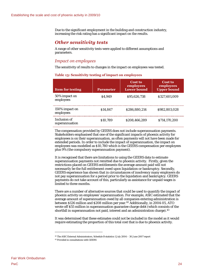Due to the significant employment in the building and construction industry, increasing the risk rating has a significant impact on the results.

#### *Other sensitivity tests*

A range of other sensitivity tests were applied to different assumptions and parameters.

#### *Impact on employees*

The sensitivity of results to changes in the impact on employees was tested.

#### **Table 13: Sensitivity testing of impact on employees**

| <b>Item for testing</b>        | <b>Parameter</b> | <b>Cost to</b><br>employees<br><b>Lower bound</b> | <b>Cost to</b><br>employees<br><b>Upper bound</b> |
|--------------------------------|------------------|---------------------------------------------------|---------------------------------------------------|
| 50% impact on<br>employees     | \$4.949          | \$95.626.738                                      | \$327,601,009                                     |
| 150% impact on<br>employees    | \$14.847         | \$286,880,214                                     | \$982,803,028                                     |
| Inclusion of<br>superannuation | \$10.789         | \$208,466,289                                     | \$714,170,200                                     |

The compensation provided by GEERS does not include superannuation payments. Stakeholders emphasised that one of the significant impacts of phoenix activity for employees is on their superannuation, as often payments will not have been made for extended periods. In order to include the impact of superannuation, the impact on employees was modelled as \$10,780 which is the GEERS compensation per employees plus 9% (the compulsory superannuation payment).

It is recognised that there are limitations to using the GEERS data to estimate superannuation payments not remitted due to phoenix activity. Firstly, given the restrictions placed on GEERS entitlements the average amount paid will not necessarily be the full entitlement owed upon liquidation or bankruptcy. Secondly, GEERS experience has shown that in circumstances of insolvency many employers do not pay superannuation for a period prior to the liquidation and bankruptcy. GEERS payments do not take account of this, particularly as assistance for unpaid wages is limited to three months.

There are a number of alternative sources that could be used to quantify the impact of phoenix activity on employees' superannuation. For example, ASIC estimated that the average amount of superannuation owed by all companies entering administration is between \$126 million and \$208 million per year.<sup>42</sup> Additionally, in 2004-05, ATO wrote off \$55 million in superannuation guarantee charge debt (which consists of the shortfall in superannuation not paid, interest and an administration charge).<sup>43</sup>

It was determined that these estimates could not be included in the model as it would require estimating the proportion of this total cost that is due to phoenix activity.

<span id="page-31-0"></span><sup>42</sup> The ASIC External Administrators, Schedule B statistics 1 July 2004 – 30 June 2007 report

<span id="page-31-1"></span><sup>43</sup> Provided in consultations with GEERS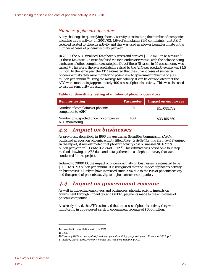#### *Number of phoenix operators*

A key challenge in quantifying phoenix activity is estimating the number of companies engaging in the activity. In 2001/02, 1.6% of complaints (194 complaints) that ASIC received related to phoenix activity and this was used as a lower bound estimate of the number of cases of phoenix activity per year.

In 2009, the ATO finalised 124 phoenix cases and derived \$83.3 million as a result.<sup>44</sup> Of these 124 cases, 75 were finalised via field audits or reviews, with the balance being a mixture of other compliance strategies. Out of these 75 cases, in 55 cases money was raised.[45 T](#page-32-3)herefore, the average liability raised by the ATO per productive case was \$1.5 million. In the same year the ATO estimated that the current cases of suspected phoenix activity they were monitoring pose a risk to government revenue of \$600 million per annum[.46](#page-32-4) Using the average tax liability, it can be extrapolated that the ATO were monitoring approximately 400 cases of phoenix activity. This was also used to test the sensitivity of results.

#### **Table 14: Sensitivity testing of number of phoenix operators**

| <b>Item for testing</b>                                 | <b>Parameter</b> | <b>Impact on employees</b> |
|---------------------------------------------------------|------------------|----------------------------|
| Number of complaints of phoenix<br>companies to ASIC    | 194              | \$16,085,782               |
| Number of suspected phoenix companies<br>ATO monitoring | 400              | \$33,166,560               |

# <span id="page-32-0"></span>*4.3 Impact on businesses*

As previously described, in 1996 the Australian Securities Commission (ASC), published a report on phoenix activity titled *Phoenix Activities and Insolvent Trading*. In the report, it was estimated that phoenix activity cost businesses \$0.67 to \$1.3 billion per year or 0.13% to 0.28% of GDP[.47](#page-32-5) This estimate was based on a four step method drawing on ABS data and data gathered in a telephone survey that was conducted for the project.

Indexed to 2009/10, the impact of phoenix activity on businesses is estimated to be \$0.99 to \$1.93 billion per annum. It is recognised that the impact of phoenix activity on businesses is likely to have increased since 1996 due to the rise of phoenix activity and the spread of phoenix activity to higher turnover companies.

# <span id="page-32-1"></span>*4.4 Impact on government revenue*

As well as impacting employees and businesses, phoenix activity impacts on government through unpaid tax and GEERS payments made to the employees of phoenix companies.

As already noted, the ATO estimated that the cases of phoenix activity they were monitoring in 2009 posed a risk to government revenue of \$600 million.

<span id="page-32-3"></span><span id="page-32-2"></span><sup>44</sup> Provided in consultations with the ATO.

<sup>45</sup> *Ibid.*

<span id="page-32-4"></span><sup>46</sup> Treasury 2009, *Action against fraudulent phoenix activity: proposals paper*, November 2009, p. 5.

<span id="page-32-5"></span><sup>47</sup> Barlow, Darren 1996. *Phoenix Activities and Insolvent Trading*, p 149.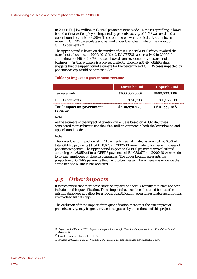In 2009/10, \$154 million in GEERS payments were made. In the risk profiling, a lower bound estimate of employees impacted by phoenix activity of 0.5% was used and an upper bound estimate of 6.85%. These parameters were applied to the employees receiving GEERS to calculate a lower and upper bound estimate of the impact on GEERS payments.[48](#page-33-1) 

The upper bound is based on the number of cases under GEERS which involved the transfer of a business in 2009/10. Of the 2,131 GEERS cases received in 2009/10, approximately 146 or 6.85% of cases showed some evidence of the transfer of a business.[49 A](#page-33-2)s this evidence is a pre-requisite for phoenix activity, GEERS data suggests that the upper bound estimate for the percentage of GEERS cases impacted by phoenix activity would be at most 6.85%.

#### <span id="page-33-0"></span>**Table 15: Impact on government revenue**

|                                              | Lower bound          | <b>Upper bound</b> |
|----------------------------------------------|----------------------|--------------------|
| Tax revenue <sup>50</sup>                    | \$600,000,000        | \$600,000,000      |
| GEERS payments <sup>2</sup>                  | S <sub>770.293</sub> | \$10,553,018       |
| <b>Total impact on government</b><br>revenue | \$600,770,293        | \$610,553,018      |

Note 1:

As the estimate of the impact of taxation revenue is based on ATO data, it was considered more robust to use the \$600 million estimate in both the lower bound and upper bound models.

Note 2:

The lower bound impact on GEERS payments was calculated assuming that 0.5% of total GEERS payments (\$154,058,670) in 2009/10 were made to former employees of phoenix companies. The upper bound impact on GEERS payments was calculated assuming that 6.85% of total GEERS payments (\$154,058,670) in 2009/10 were made to former employees of phoenix companies. The upper bound represents the proportion of GEERS payments that went to businesses where there was evidence that a transfer of a business has occurred.

# *4.5 Other impacts*

It is recognised that there are a range of impacts of phoenix activity that have not been included in this quantification. These impacts have not been included because the existing data does not allow for a robust quantification, even if reasonable assumptions are made to fill data gaps.

The exclusion of these impacts from quantification mean that the true impact of phoenix activity may be greater than is suggested by the estimate of this project.

<span id="page-33-1"></span><sup>48</sup> Department of Finance, 2011. *Regulation Impact Statement for Taxation Changes to Address Fraudulent Phoenix Activity*, p2

<span id="page-33-2"></span><sup>49</sup> Provided in consultations with GEERS

<span id="page-33-3"></span><sup>50</sup> Treasury 2009, *Action against fraudulent phoenix activity*: proposals paper, November 2009, p. iv.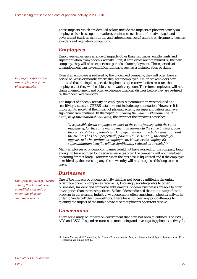These impacts, which are detailed below, include the impacts of phoenix activity on employees (such as superannuation), businesses (such as unfair advantage) and government (such as monitoring and enforcement costs) and the environment (such as avoidance of regulatory obligations.

#### *Employees*

Employees experience a range of impacts other than lost wages, entitlements and superannuation from phoenix activity. First, if employees are not rehired by the new company, they will often experience periods of unemployment. These periods of unemployment can have significant impacts such as a disintegration of skills.

Even if an employee is re-hired by the phoenixed company, they will often have a period of weeks or months where they are unemployed. Union stakeholders have indicated that during this period, the phoenix operator will often reassure the employee that they will be able to start work very soon. Therefore, employees will not claim unemployment and often experience financial distress before they are re-hired by the phoenixed company.

The impact of phoenix activity on employees' superannuation was included as a sensitivity test as the GEERS data does not include superannuation. However, it is important to note that the impact of phoenix activity on superannuation can have significant ramifications. In the paper *Combating the Phoenix Phenomenon: An Analysis of International Approach*, the extent of the impact is described:

*"it is possible for an employee to work in the same factory, with the same machinery, for the same management, in ostensibly the same business, over the course of the employee's working life, with no immediate realisation that the business has been perpetually phoenixed… Essentially the employee appears to be in continuous employment. However the employee's superannuation benefits will be significantly reduced as a result." [51](#page-34-0)* 

Many employees of phoenix companies would not have worked for the company long enough to have accrued long services leave (as often the company will not have been operating for that long). However, when the business is liquidated and if the employee is re-hired by the new company, the new entity will not recognise this long service leave.

#### *Businesses*

One of the impacts of phoenix activity that has not been quantified is the unfair advantage phoenix companies receive. By knowingly avoiding debts to other businesses, tax debt and employee entitlements, phoenix businesses are able to offer lower prices than their competitors. Stakeholders indicated that this is a significant problem in the cleaning industry, with operators often engaging in phoenix activity in order to 'undercut' their competitors. There have not been any prior attempts to quantify the impact of the unfair advantage that phoenix operators receive.

#### *Government*

There are a range of impacts on government that have not been quantified. The FWO, ATO and ASIC all spend resources on monitoring and investigating phoenix activity. It

*Employees experience a range of impacts from phoenix activity.* 

*One of the impacts of phoenix activity that has not been quantified is the unfair advantage phoenix companies receive.* 

<span id="page-34-0"></span><sup>51</sup> Roach, Murray. 2010. 'Combating the Phoenix Phenomenon: An Analysis of International Approaches'. eJounral of Tax Research, vol 8, no 2, p90-127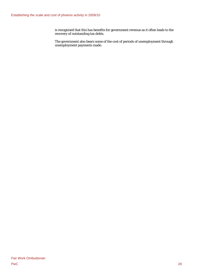is recognised that this has benefits for government revenue as it often leads to the recovery of outstanding tax debts.

The government also bears some of the cost of periods of unemployment through unemployment payments made.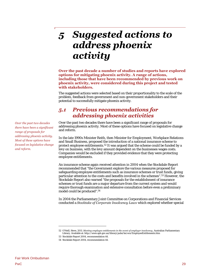# 5 Suggested actions to address phoenix activity

**Over the past decade a number of studies and reports have explored options for mitigating phoenix activity. A range of actions, including those that have been recommended by previous work on phoenix activity, were considered during this project and tested with stakeholders.** 

The suggested actions were selected based on their proportionality to the scale of the problem, feedback from government and non-government stakeholders and their potential to successfully mitigate phoenix activity.

# *5.1 Previous recommendations for addressing phoenix activities*

Over the past two decades there have been a significant range of proposals for addressing phoenix activity. Most of these options have focused on legislative change and reform.

In the late 1990s Minister Reith, then Minister for Employment, Workplace Relations and Small Business, proposed the introduction of a national insurance scheme to protect employee entitlements.[52 I](#page-36-0)t was argued that the scheme could be funded by a levy on business, with the levy amount dependent on the businesses wages costs. Companies would be excluded if they provided evidence that they were protecting employee entitlements.

An insurance scheme again received attention in 2004 when the Stockdale Report recommended that "the Government explore the various measures proposed for safeguarding employee entitlements such as insurance schemes or trust funds, giving particular attention to the costs and benefits involved in the schemes".[53 H](#page-36-1)owever, the Stockdale Report also warned "the proposals for the establishment of insurance schemes or trust funds are a major departure from the current system and would require thorough examination and extensive consultation before even a preliminary model could be produced".[54](#page-36-2) 

In 2004 the Parliamentary Joint Committee on Corporations and Financial Services conducted a *Stocktake of Corporate Insolvency Laws* which explored whether special

*Over the past two decades there have been a significant range of proposals for addressing phoenix activity. Most of these options have focused on legislative change and reform.* 

<span id="page-36-0"></span><sup>52</sup> O'Neill, Steve, 2011. *Meeting employee entitlements in the event of employer insolvency*, Australian Parliamentary Library. Available at: http://www.aph.gov.au/library/pubs/bn/eco/EmployeeEntitlements.htm

<span id="page-36-1"></span><sup>53</sup> Stockdale Report 2004, recommendation 44.

<span id="page-36-2"></span><sup>54</sup> Stockdale Report 2004, recommendation 44.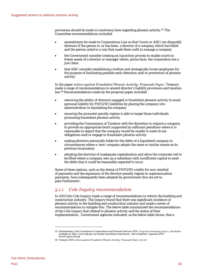provisions should be made in insolvency laws regarding phoenix activity.[55 T](#page-37-0)he Committee recommendations included:

- amendments be made to Corporations Law so that Courts or ASIC can disqualify directors if the person is, or has been, a director of a company which has failed and the person acted in a way that made them unfit to manage a company
- the Government consider creating an injunction process to enable courts to freeze assets of a director or manager where, prima facie, the corporation has a just claim
- that ASIC consider establishing a hotline and strategically locate employees for the purpose of facilitating possible early detection and/or prevention of phoenix activity.

In the paper *Action against Fraudulent Phoenix Activity: Proposals Paper*, Treasury made a range of recommendations to amend director's liability provisions and taxation law.[56 R](#page-37-1)ecommendations made by the proposal paper included:

- removing the ability of directors engaged in fraudulent phoenix activity to avoid personal liability for PAYG(W) liabilities by placing the company into administration or liquidating the company
- ensuring the promoter penalty regime is able to target those individuals promoting fraudulent phoenix activity
- providing the Commission of Taxation with the discretion to require a company to provide an appropriate bond (supported by sufficient penalties) where it is reasonable to expect that the company would be unable to meet its tax obligations and/or engage in fraudulent phoenix activity
- making directors personally liable for the debts of a liquidated company in circumstances where a 'new' company adopts the same or similar names as its previous incarnation
- adopting the doctrine of inadequate capitalisation and allow the corporate veil to be lifted where a company sets up a subsidiary with insufficient capital to meet the debts that it could be reasonably expected to incur.

Some of these options, such as the denial of PAYG(W) credits for non-remittal of payments and the expansion of the director penalty regime to superannuation payments, have subsequently been adopted by government (but are yet to pass Parliament).

# *5.1.1 Cole Inquiry recommendation*

In 2003 the Cole Inquiry made a range of recommendations to reform the building and construction industry. The Inquiry found that there was significant incidence of phoenix activity in the building and construction industry and made a series of recommendations to mitigate this. The below table summarised the recommendations of the Cole Inquiry that related to phoenix activity and the status of their implementation. Government agencies indicated, as the below table shows, that a

<span id="page-37-0"></span><sup>55</sup> Parliamentary Joint Committee on Corporations and Financial Services 2004, *Corporate Insolvency Laws: a Stocktake*. Available at: http://www.aph.gov.au/senate/committee/corporations\_ctte/completed\_inquiries/2002 04/ail/report/ail.pdf

<span id="page-37-1"></span><sup>56</sup> Treasury 2009, *Action against Fraudulent Phoenix Activity: Proposals Paper*, p vi-vii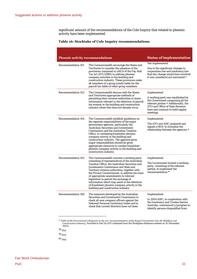significant amount of the recommendations of the Cole Inquiry that related to phoenix activity have been implemented.

### **Table 16: Stocktake of Cole Inquiry recommendations**

| <b>Phoenix activity recommendations</b> |                                                                                                                                                                                                                                                                                                                                                                                                                                                                                                                             | <b>Status of implementation</b>                                                                                                                                                                                                  |
|-----------------------------------------|-----------------------------------------------------------------------------------------------------------------------------------------------------------------------------------------------------------------------------------------------------------------------------------------------------------------------------------------------------------------------------------------------------------------------------------------------------------------------------------------------------------------------------|----------------------------------------------------------------------------------------------------------------------------------------------------------------------------------------------------------------------------------|
| <b>Recommendation 101</b>               | The Commonwealth encourage the States and<br>Territories to consider the adoption of the<br>provisions contained in s16LA of the Pay-Roll<br>Tax Act 1971 (NSW) to address phoenix<br>company activities in the building and<br>construction industry. These provisions make<br>all members of a group jointly liable for the<br>payroll tax debts of other group members.                                                                                                                                                  | Not implemented.<br>Due to the significant changes to<br>corporation law and insolvency law<br>that this change would have involved<br>it was considered not warranted. <sup>57</sup>                                            |
| <b>Recommendation 102</b>               | The Commonwealth discuss with the States<br>and Territories appropriate methods of<br>permitting their revenue authorities to share<br>information relevant to the detection of payroll<br>tax evasion in the building and construction<br>industry where this does not already occur.                                                                                                                                                                                                                                      | Implemented<br>A working party was established by<br>the Government comprising all the<br>relevant parties. <sup>58</sup> Additionally, the<br>ATO and Office of State Revenue<br>have and continue to hold regular<br>meetings. |
| <b>Recommendation 104</b>               | The Commonwealth establish guidelines on<br>the separate responsibilities of the major<br>government agencies, particularly the<br><b>Australian Securities and Investments</b><br>Commission and the Australian Taxation<br>Office, in combating fraudulent phoenix<br>company activity in the building and<br>construction industry. The agencies given<br>major responsibilities should be given<br>appropriate resources to combat fraudulent<br>phoenix company activity in the building and<br>construction industry. | Implemented<br>The ATO and ASIC prepared and<br>signed a MOU to formalise the<br>relationship between the agencies. <sup>59</sup>                                                                                                |
| <b>Recommendation 105</b>               | The Commonwealth convene a working party<br>consisting of representatives of the Australian<br>Taxation Office, the Australian Securities and<br><b>Investments Commission and State and</b><br>Territory revenue authorities, together with<br>the Privacy Commissioner, to address the issue<br>of appropriate amendments to relevant<br>legislation to permit the exchange of<br>information which may assist in the detection<br>of fraudulent phoenix company activity in the<br>building and construction industry.   | Implemented.<br>The Government formed a working<br>party, consisting of the relevant<br>parties, to implement the<br>recommendation. <sup>60</sup>                                                                               |
| Recommendation 106                      | The measures developed by the Australian<br>Securities and Investments Commission to<br>check all new company officers against the<br>National Personal Insolvency Index and to<br>check that current directors have not been                                                                                                                                                                                                                                                                                               | Implemented.<br>In 2004 ASIC, in cooperation with<br>the Insolvency and Trustee Service<br>Australia, commenced a [program to<br>identify persons disqualified from                                                              |

<span id="page-38-0"></span> $^{57}$  Table of the Government's Response to the 212 recommendations of the Royal Commission into the Building and<br>Construction Industry. Provided to PwC by ATO (obtained from the Workplace Relations website on 10 Novembe

<span id="page-38-1"></span><sup>58</sup>*Ibid.* 

<span id="page-38-2"></span><sup>59</sup>*Ibid.* 

<span id="page-38-3"></span><sup>60</sup>*Ibid.*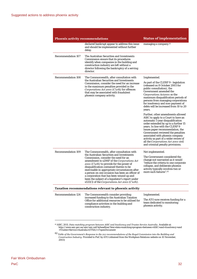| <b>Phoenix activity recommendations</b> |                                                                                                                                                                                                                                                                                                                                                                                                                                                                                                                           | <b>Status of implementation</b>                                                                                                                                                                                                                                                                                                                                                                                          |
|-----------------------------------------|---------------------------------------------------------------------------------------------------------------------------------------------------------------------------------------------------------------------------------------------------------------------------------------------------------------------------------------------------------------------------------------------------------------------------------------------------------------------------------------------------------------------------|--------------------------------------------------------------------------------------------------------------------------------------------------------------------------------------------------------------------------------------------------------------------------------------------------------------------------------------------------------------------------------------------------------------------------|
|                                         | declared bankrupt appear to address this issue<br>and should be implemented without further<br>delay.                                                                                                                                                                                                                                                                                                                                                                                                                     | managing a company. <sup>61</sup>                                                                                                                                                                                                                                                                                                                                                                                        |
| Recommendation 107                      | The Australian Securities and Investments<br>Commission ensure that its procedures<br>identify when companies in the building and<br>construction industry are left without a<br>director following the bankruptcy of a serving<br>director.                                                                                                                                                                                                                                                                              |                                                                                                                                                                                                                                                                                                                                                                                                                          |
| <b>Recommendation 108</b>               | The Commonwealth, after consultation with<br>the Australian Securities and Investments                                                                                                                                                                                                                                                                                                                                                                                                                                    | Implemented.                                                                                                                                                                                                                                                                                                                                                                                                             |
|                                         | Commission, consider the need for an increase<br>in the maximum penalties provided in the<br>Corporations Act 2001 (C'wth) for offences<br>that may be associated with fraudulent<br>phoenix company activity.                                                                                                                                                                                                                                                                                                            | As part of the CLERP 9 - legislation<br>(released on 8 October 2003 for<br>public consultation), the<br>Government amended the<br>Corporations Act2001 so the<br>maximum disqualification periods of<br>persons from managing corporations<br>for insolvency and non-payment of<br>debts will be increased from 10 to 20<br>years.                                                                                       |
|                                         |                                                                                                                                                                                                                                                                                                                                                                                                                                                                                                                           | Further, other amendments allowed<br>ASIC to apply to a Court to have an<br>automatic 5 year disqualification<br>order extended by up to a further 15<br>years. In line with the CLERP 9<br>issues paper recommendation, the<br>Government reviewed the penalties<br>associated with phoenix company<br>activity as part of a wider review of<br>all the Corporations Act 2001 civil<br>and criminal penalty provisions. |
| Recommendation 109                      | The Commonwealth, after consultation with<br>the Australian Securities and Investments<br>Commission, consider the need for an<br>amendment to s206F of the Corporations Act<br>2001 (C'wth) to provide for the power of<br>disqualification contained therein to be<br>exercisable in appropriate circumstances after<br>a person on one occasion has been an officer of<br>a corporation that has been wound up and<br>been the subject of a liquidator's report under<br>s533(1) of the Corporations Act 2001 (C'wth). | Not implemented.<br>The Government considered the<br>change not warranted as it would<br>reduce the criteria to one corporate"<br>collapse, and deliberate phoenix<br>activity typically involves two or<br>more such failures". <sup>62</sup>                                                                                                                                                                           |
|                                         | Taxation recommendations relevant to phoenix activity                                                                                                                                                                                                                                                                                                                                                                                                                                                                     |                                                                                                                                                                                                                                                                                                                                                                                                                          |
| Recommendation 124                      | The Commonwealth consider providing<br>increased funding to the Australian Taxation<br>Office for additional resources to be utilised for<br>compliance activities in the building and<br>construction industry.                                                                                                                                                                                                                                                                                                          | Implemented.<br>The ATO now receives funding for a<br>team dedicated to monitoring<br>phoenix activity.                                                                                                                                                                                                                                                                                                                  |

<span id="page-39-0"></span><sup>&</sup>lt;sup>61</sup> ASIC, 2011. *Data matching program between ASIC and Insolvency and Trustee Service Australia*. Available at:<br>http://www.asic.gov.au/asic/asic.nsf/byheadline/New+data+matching+program+between+ASIC+and+Insolvency+and<br>+

<sup>62</sup>*Table of the Government's Response to the 212 recommendations of the Royal Commission into the Building and Construction Industry.* Provided to PwC by ATO (obtained from the Workplace Relations website on 10 November, 2003)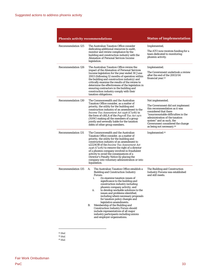| <b>Phoenix activity recommendations</b> |                                                                                                                                                                                                                                                                                                                                                                                                                                                                                                                                                                                                                                               | <b>Status of implementation</b>                                                                                                                                                                                                                                                                  |
|-----------------------------------------|-----------------------------------------------------------------------------------------------------------------------------------------------------------------------------------------------------------------------------------------------------------------------------------------------------------------------------------------------------------------------------------------------------------------------------------------------------------------------------------------------------------------------------------------------------------------------------------------------------------------------------------------------|--------------------------------------------------------------------------------------------------------------------------------------------------------------------------------------------------------------------------------------------------------------------------------------------------|
| Recommendation 125                      | The Australian Taxation Office consider<br>dedicating additional resources to audit,<br>monitor and review compliance by the<br>building and construction industry with the<br>Alienation of Personal Services Income<br>legislation.                                                                                                                                                                                                                                                                                                                                                                                                         | Implemented,<br>The ATO now receives funding for a<br>team dedicated to monitoring<br>phoenix activity.                                                                                                                                                                                          |
| Recommendation 126                      | The Australian Taxation Office review the<br>impact of the Alienation of Personal Services<br>Income legislation for the year ended 30 June<br>2003 (following 12 months of operation within<br>the building and construction industry) and<br>critically examine the results of the review to<br>determine the effectiveness of the legislation in<br>ensuring contractors in the building and<br>construction industry comply with their<br>taxation obligations.                                                                                                                                                                           | Implemented.<br>The Government undertook a review<br>after the end of the 2003/04<br>financial year. <sup>63</sup>                                                                                                                                                                               |
| Recommendation 130                      | The Commonwealth and the Australian<br>Taxation Office consider, as a matter of<br>priority, the utility for the building and<br>construction industry of an amendment to the<br>Income Tax Assessment Act 1936 (C'wth) in<br>the form of s16LA of the <i>Payroll Tax Act</i> 1971<br>(NSW) making all the members of a group<br>jointly and severally liable for the taxation<br>debts of other group members.                                                                                                                                                                                                                               | Not implemented.<br>The Government did not implement<br>this recommendation as it was<br>considered that there<br>"insurmountable difficulties in the<br>administration of the taxation<br>system" and as such, the<br>Government considered the change<br>as being not necessary. <sup>64</sup> |
| <b>Recommendation 131</b>               | The Commonwealth and the Australian<br>Taxation Office consider, as a matter of<br>priority, the utility for the building and<br>construction industry of an amendment to<br>s222AOB of the Income Tax Assessment Act<br>1936 (C'wth) to remove the right of a director<br>of a phoenix company involved in fraudulent<br>activity to avoid the consequences of a<br>Director's Penalty Notice by placing the<br>company into voluntary administration or into<br>liquidation.                                                                                                                                                                | Implemented. <sup>65</sup>                                                                                                                                                                                                                                                                       |
| <b>Recommendation 135</b>               | The Australian Taxation Office establish a<br>А.<br><b>Building and Construction Industry</b><br>Forum:<br>i.<br>(to examine taxation issues of<br>significance to the building and<br>construction industry including<br>phoenix company activity; and<br>to develop workable solutions to the<br>ii.<br>issues and problems identified,<br>including where necessary proposals<br>for taxation policy changes and<br>legislative amendments.<br>В.<br>Membership of the Building and<br>Construction Industry Forum should<br>include representatives of all major<br>industry participants including unions<br>and employer organisations. | The Building and Construction<br>Industry Forums was established<br>and still meets.                                                                                                                                                                                                             |

<span id="page-40-0"></span><sup>63</sup>*Ibid.* 

<span id="page-40-1"></span><sup>64</sup>*Ibid.* 

<span id="page-40-2"></span><sup>65</sup>*Ibid.*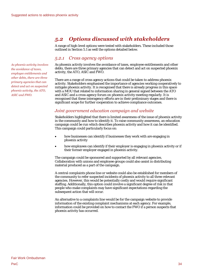# *5.2 Options discussed with stakeholders*

A range of high-level options were tested with stakeholders. These included those outlined in Section 5.1 as well the options detailed below.

## *5.2.1 Cross agency options*

As phoenix activity involves the avoidance of taxes, employee entitlements and other debts, there are three primary agencies that can detect and act on suspected phoenix activity, the ATO, ASIC and FWO.

There are a range of cross agency actions that could be taken to address phoenix activity. Stakeholders emphasised the importance of agencies working cooperatively to mitigate phoenix activity. It is recognised that there is already progress in this space with a MOU that related to information sharing in general signed between the ATO and ASIC and a cross agency forum on phoenix activity meeting regularly. It is recognised that these interagency efforts are in their preliminary stages and there is significant scope for further cooperation to achieve compliance outcomes.

## *Joint government education campaign and website*

Stakeholders highlighted that there is limited awareness of the issue of phoenix activity in the community and how to identify it. To raise community awareness, an education campaign could be run which describes phoenix activity and how it can be identified. This campaign could particularly focus on:

- how businesses can identify if businesses they work with are engaging in phoenix activity
- how employees can identify if their employer is engaging in phoenix activity or if their former employer engaged in phoenix activity.

The campaign could be sponsored and supported by all relevant agencies. Collaboration with unions and employee groups could also assist in distributing material produced as a part of the campaign.

A central complaints phone line or website could also be established for members of the community to refer suspected incidents of phoenix activity to all three relevant agencies. However, this would be potentially costly and would require significant staffing. Additionally, this option could involve a significant degree of risk in that people who make complaints may have significant expectations regarding the subsequent action that will occur.

An alternative to a complaints line would be for the campaign website to provide information of the existing complaint mechanisms at each agency. For example, information could be provided on how to contact the FWO if a person suspects that phoenix activity has occurred.

*As phoenix activity involves the avoidance of taxes, employee entitlements and other debts, there are three primary agencies that can detect and act on suspected phoenix activity, the ATO, ASIC and FWO.*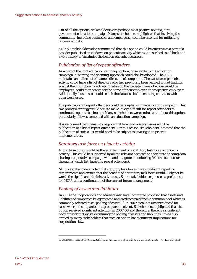Out of all the options, stakeholders were perhaps most positive about a joint government education campaign. Many stakeholders highlighted that involving the community, including businesses and employees, would be essential for mitigating phoenix activity.

Multiple stakeholders also commented that this option could be effective as a part of a broader publicised crack down on phoenix activity which was described as a 'shock and awe' strategy to 'maximise the heat on phoenix operators'.

## *Publication of list of repeat offenders*

As a part of the joint education campaign option, or separate to the education campaign, a 'naming and shaming' approach could also be adopted. The ASIC maintains an online list of banned directors of companies. The website on phoenix activity could have a list of directors who had previously been banned or had findings against them for phoenix activity. Visitors to the website, many of whom would be employees, could then search for the name of their employer or prospective employers. Additionally, businesses could search the database before entering contracts with other businesses.

The publication of repeat offenders could be coupled with an education campaign. This two pronged strategy would seek to make it very difficult for repeat offenders to continue to operate businesses. Many stakeholders were enthusiastic about this option, particularly if it was combined with an education campaign.

It is recognised that there may be potential legal and privacy issues with the publication of a list of repeat offenders. For this reason, stakeholders indicated that the publication of such a list would need to be subject to investigation prior to implementation.

## *Statutory task force on phoenix activity*

A long term option could be the establishment of a statutory task force on phoenix activity. This could be supported by all the relevant agencies and facilitate ongoing data sharing, cooperative campaign work and integrated monitoring (which could occur through a 'watch list' targeting repeat offenders).

Multiple stakeholders noted that statutory task forces have significant reporting requirements and argued that the benefits of a statutory task force would likely not be worth the significant administrative costs. Some stakeholders expressed a preference for MOUs and a continuation of the current forum arrangement.

## *Pooling of assets and liabilities*

In 2004 the Corporations and Markets Advisory Committee proposed that assets and liabilities of companies be aggregated and creditors paid from a common pool which is commonly referred to as 'pooling of assets'.[66 I](#page-42-0)n 2007 'pooling' was introduced for cases where all companies in a group are insolvent. Stakeholders highlighted that this option received significant attention in 2007-08 and therefore, there is a significant body of work that exists examining the pooling of assets and liabilities. It was also argued by many stakeholders that such an option has significant implications for corporations law.

<span id="page-42-0"></span><sup>66</sup> Anderson, Helen. 2011. *Phoenix Activity and the Recovery of Unpaid Employee Entitlements – Ten Years On*', p 19.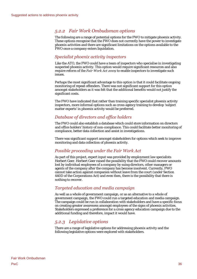# *5.2.2 Fair Work Ombudsman options*

The following are a range of potential options for the FWO to mitigate phoenix activity. These options recognise that the FWO does not currently have the power to investigate phoenix activities and there are significant limitations on the options available to the FWO once a company enters liquidation.

## *Specialist phoenix activity inspectors*

Like the ATO, the FWO could have a team of inspectors who specialise in investigating suspected phoenix activity. This option would require significant resources and also require reform of the *Fair Work Act 2009* to enable inspectors to investigate such issues.

Perhaps the most significant advantage to this option is that it could facilitate ongoing monitoring of repeat offenders. There was not significant support for this option amongst stakeholders as it was felt that the additional benefits would not justify the significant costs.

The FWO have indicated that rather than training specific specialist phoenix activity inspectors, more informal options such as cross-agency training to develop 'subject matter experts' in phoenix activity would be preferred.

## *Database of directors and office holders*

The FWO could also establish a database which could store information on directors and office holders' history of non-compliance. This could facilitate better monitoring of compliance, better data collection and assist in investigations.

There was significant support amongst stakeholders for options which seek to improve monitoring and data collection of phoenix activity.

## *Possible proceeding under the Fair Work Act*

As part of this project, expert input was provided by employment law specialists Herbert Geer. Herbert Geer raised the possibility that the FWO could recover amounts lost by individual employees of a company by suing directors, other managers or agents of the company after the company has become insolvent. Currently, FWO cannot take action against companies without leave from the court (under Section 440D of the Corporations Act) and even then, there is the possibility that there is nothing to recover.

## *Targeted education and media campaign*

As well as a whole of government campaign, or as an alternative to a whole of government campaign, the FWO could run a targeted education and media campaign. The campaign could be run in collaboration with stakeholders and have a specific focus on creating greater awareness amongst employees of the signs of phoenix activities. Stakeholders expressed a preference for a cross agency education campaign due to the additional funding and therefore, impact it would have.

# *5.2.3 Legislative options*

There are a range of legislative options for addressing phoenix activity and the following legislative options were explored with stakeholders.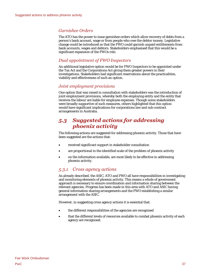## *Garnishee Orders*

The ATO has the power to issue garnishee orders which allow recovery of debts from a person's bank account, wage or from people who owe the debtor money. Legislative change could be introduced so that the FWO could garnish unpaid entitlements from bank accounts, wages and debtors. Stakeholders emphasised that this would be a significant expansion of the FWOs role.

## *Dual appointment of FWO Inspectors*

An additional legislative option would be for FWO Inspectors to be appointed under the Tax Act and the Corporations Act giving them greater powers in their investigations. Stakeholders had significant reservations about the practicalities, viability and effectiveness of such an option.

## *Joint employment provisions*

One option that was raised in consultation with stakeholders was the introduction of joint employment provisions, whereby both the employing entity and the entity that receives the labour are liable for employee expenses. Though some stakeholders were broadly supportive of such measures, others highlighted that this option would have significant implications for corporations law and sub-contract arrangements in Australia.

# *5.3 Suggested actions for addressing phoenix activity*

The following actions are suggested for addressing phoenix activity. Those that have been suggested are the actions that:

- received significant support in stakeholder consultation
- are proportional to the identified scale of the problem of phoenix activity
- on the information available, are most likely to be effective in addressing phoenix activity.

## *5.3.1 Cross agency actions*

As already described, the ASIC, ATO and FWO all have responsibilities in investigating and monitoring elements of phoenix activity. This means a whole of government approach is necessary to ensure coordination and information sharing between the relevant agencies. Progress has been made in this area with ATO and ASIC having general information sharing arrangements and the FWO establishing a similar arrangement with the ASIC.

However, in suggesting cross agency actions it is essential that:

- the different responsibilities of the agencies are recognised
- that the different levels of resources available to combat phoenix activity of each agency are recognised.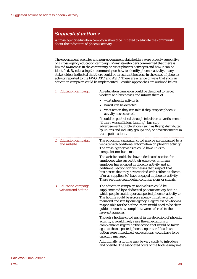A cross-agency education campaign should be initiated to educate the community about the indicators of phoenix activity.

The government agencies and non-government stakeholders were broadly supportive of a cross agency education campaign. Many stakeholders commented that there is limited awareness in the community on what phoenix activity is and how it can be identified. By educating the community on how to identify phoenix activity, many stakeholders indicated that there could be a resultant increase in the cases of phoenix activity reported to the FWO, ATO and ASIC. There are a range of ways that such an education campaign could be implemented. Possible approaches are outlined below.

| 1<br><b>Education campaign</b>                        | An education campaign could be designed to target<br>workers and businesses and inform them of:                                                                                                                                                                                                                                                                                                                         |
|-------------------------------------------------------|-------------------------------------------------------------------------------------------------------------------------------------------------------------------------------------------------------------------------------------------------------------------------------------------------------------------------------------------------------------------------------------------------------------------------|
|                                                       | what phoenix activity is                                                                                                                                                                                                                                                                                                                                                                                                |
|                                                       | how it can be detected                                                                                                                                                                                                                                                                                                                                                                                                  |
|                                                       | what action they can take if they suspect phoenix<br>activity has occurred.                                                                                                                                                                                                                                                                                                                                             |
|                                                       | It could be publicised through television advertisements<br>(if there was sufficient funding), bus stop<br>advertisements, publications (such as flyers) distributed<br>by unions and industry groups and/or advertisements in<br>trade publications.                                                                                                                                                                   |
| <b>Education campaign</b><br>$z_{\rm}$<br>and website | The education campaign could also be accompanied by a<br>website with additional information on phoenix activity.<br>The cross-agency website could have links to<br>complaint mechanisms.                                                                                                                                                                                                                              |
|                                                       | The website could also have a dedicated section for<br>employees who suspect their employer or former<br>employer has engaged in phoenix activity and an<br>additional section for businesses that suspect that<br>businesses that they have worked with (either as clients<br>of or as suppliers to) have engaged in phoenix activity.<br>These sections could detail common signs or signals.                         |
| 3.<br>Education campaign,<br>website and hotline      | The education campaign and website could be<br>supplemented by a dedicated phoenix activity hotline<br>which people could report suspected phoenix activity to.<br>The hotline could be a cross agency initiative or be<br>managed and run by one agency. Regardless of who was<br>responsible for the hotline, there would need to be clear<br>guidelines on how complaints were referred to the<br>relevant agencies. |
|                                                       | Though a hotline could assist in the detection of phoenix<br>activity, it would likely raise the expectations of<br>complainants regarding the action that would be taken<br>against the suspected phoenix operator. If such an<br>option were introduced, expectations would have to be<br>carefully managed.                                                                                                          |
|                                                       | Additionally, a hotline may be very costly to introduce<br>and operate. The associated costs of the hotline may not                                                                                                                                                                                                                                                                                                     |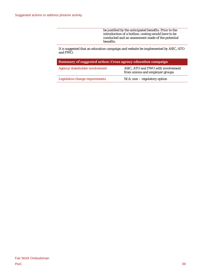be justified by the anticipated benefits. Prior to the introduction of a hotline, costing would have to be conducted and an assessment made of the potential benefits.

It is suggested that an education campaign and website be implemented by ASIC, ATO and FWO.

| <b>Summary of suggested action: Cross agency education campaign</b> |                                                                       |  |
|---------------------------------------------------------------------|-----------------------------------------------------------------------|--|
| Agency/stakeholder involvement                                      | ASIC, ATO and FWO with involvement<br>from unions and employer groups |  |
| Legislative change requirements                                     | $N/A$ : non – regulatory option                                       |  |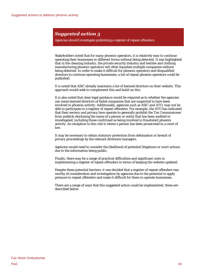Agencies should investigate publishing a register of repeat offenders.

Stakeholders noted that for many phoenix operators, it is relatively easy to continue operating their businesses in different forms without being detected. It was highlighted that in the cleaning industry, the private security industry and textiles and clothing manufacturing phoenix operators will often liquidate multiple companies without being detected. In order to make it difficult for phoenix operators and disqualified directors to continue operating businesses, a list of repeat phoenix operators could be published.

It is noted that ASIC already maintains a list of banned directors on their website. This approach would seek to complement this and build on this.

It is also noted that clear legal guidance would be required as to whether the agencies can name banned directors of failed companies that are suspected to have been involved in phoenix activity. Additionally, agencies such as ASIC and ATO, may not be able to participate in a register of repeat offenders. For example, the ATO has indicated that their secrecy and privacy laws operate to generally prohibit the Tax Commissioner from publicly disclosing the name of a person or entity that has been audited or investigated, including those confirmed as being involved in fraudulent phoenix activity. An exception to this rule is where a person has been prosecuted in a court of law.

It may be necessary to obtain statutory protection from defamation or breach of privacy proceedings by the relevant directors/managers.

Agencies would need to consider the likelihood of potential litigations or court actions due to the information being public.

Finally, there may be a range of practical difficulties and significant costs in implementing a register of repeat offenders in terms of keeping the website updated.

Despite these potential barriers, it was decided that a register of repeat offenders was worthy of consideration and investigation by agencies due to the potential to apply pressure to repeat offenders and make it difficult for them to operate businesses.

There are a range of ways that this suggested action could be implemented, these are described below.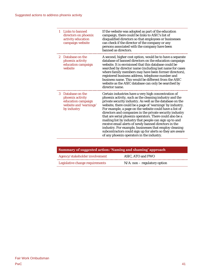|             | 1 Links to banned<br>directors on phoenix<br>activity education<br>campaign website                | If the website was adopted as part of the education<br>campaign, there could be links to ASIC's list of<br>disqualified directors so that employees or businesses<br>can check if the director of the company or any<br>persons associated with the company have been<br>banned as directors.                                                                                                                                                                                                                                                                                                                                                                                                                        |
|-------------|----------------------------------------------------------------------------------------------------|----------------------------------------------------------------------------------------------------------------------------------------------------------------------------------------------------------------------------------------------------------------------------------------------------------------------------------------------------------------------------------------------------------------------------------------------------------------------------------------------------------------------------------------------------------------------------------------------------------------------------------------------------------------------------------------------------------------------|
| $2^{\circ}$ | Database on the<br>phoenix activity<br>education campaign<br>website                               | A second, higher cost option, would be to have a separate<br>database of banned directors on the education campaign<br>website. It is envisioned that this database could be<br>searched by director name (including last name for cases<br>where family members may have been former directors),<br>registered business address, telephone number and<br>business name. This would be different from the ASIC<br>website as the ASIC database can only be searched by<br>director name.                                                                                                                                                                                                                             |
| 3           | Database on the<br>phoenix activity<br>education campaign<br>website and 'warnings'<br>by industry | Certain industries have a very high concentration of<br>phoenix activity, such as the cleaning industry and the<br>private security industry. As well as the database on the<br>website, there could be a page of 'warnings' by industry.<br>For example, a page on the website could have a list of<br>directors and companies in the private security industry<br>that are serial phoenix operators. There could also be a<br>mailing list by industry that people can sign up to and<br>receive email alerts of newly banned directors in the<br>industry. For example, businesses that employ cleaning<br>subcontractors could sign up for alerts so they are aware<br>of any phoenix operators in the industry. |

| Summary of suggested action: 'Naming and shaming' approach |                                 |  |
|------------------------------------------------------------|---------------------------------|--|
| Agency/stakeholder involvement                             | ASIC, ATO and FWO               |  |
| Legislative change requirements                            | $N/A$ : non – regulatory option |  |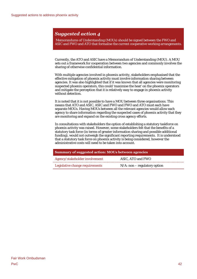Memorandums of Understanding (MOUs) should be signed between the FWO and ASIC and FWO and ATO that formalise the current cooperative working arrangements.

Currently, the ATO and ASIC have a Memorandum of Understanding (MOU). A MOU sets out a framework for cooperation between two agencies and commonly involves the sharing of otherwise confidential information.

With multiple agencies involved in phoenix activity, stakeholders emphasised that the effective mitigation of phoenix activity must involve information sharing between agencies. It was also highlighted that if it was known that all agencies were monitoring suspected phoenix operators, this could 'maximise the heat' on the phoenix operators and mitigate the perception that it is relatively easy to engage in phoenix activity without detection.

It is noted that it is not possible to have a MOU between three organisations. This means that ATO and ASIC, ASIC and FWO and FWO and ATO must each have separate MOUs. Having MOUs between all the relevant agencies would allow each agency to share information regarding the suspected cases of phoenix activity that they are monitoring and expand on the existing cross agency efforts.

In consultations with stakeholders the option of establishing a statutory taskforce on phoenix activity was raised. However, some stakeholders felt that the benefits of a statutory task force (in terms of greater information sharing and possible additional funding), would not outweigh the significant reporting requirements. It is understood that a statutory task force on phoenix activity is being considered, however the administrative costs will need to be taken into account.

| Summary of suggested action: MOUs between agencies |                                 |  |
|----------------------------------------------------|---------------------------------|--|
| Agency/stakeholder involvement                     | ASIC, ATO and FWO               |  |
| Legislative change requirements                    | $N/A$ : non – regulatory option |  |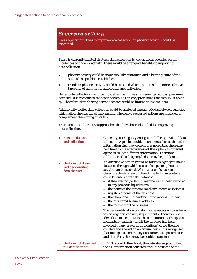Cross agency initiatives to improve data collection on phoenix activity should be examined.

There is currently limited strategic data collection by government agencies on the incidences of phoenix activity. There would be a range of benefits to improving data collection:

- phoenix activity could be more robustly quantified and a better picture of the scale of the problem established
- trends in phoenix activity could be tracked which could result in more effective targeting of monitoring and compliance activities.

Better data collection would be most effective if it was implemented across government agencies. It is recognised that each agency has privacy provisions that they must abide by. Therefore, data sharing across agencies could be limited to 'macro' data.

Additionally, better data collection could be achieved through MOUs between agencies which allow the sharing of information. The below suggested actions are intended to complement the signing of MOUs.

There are three alternative approaches that have been identified for improving data collection.

| $\mathbf{1}$ | <b>Existing data sharing</b><br>and collection          | Currently, each agency engages in differing levels of data<br>collection. Agencies could, on an annual basis, share the<br>information that they collect. It is noted that there may<br>be a limit to the effectiveness of this option as different<br>agencies collect different information. Therefore,<br>calibration of each agency's data may be problematic.                                                                                                                                                                                                                                                                                                                                                                                                                                                                                                                                                                                                                                                                               |
|--------------|---------------------------------------------------------|--------------------------------------------------------------------------------------------------------------------------------------------------------------------------------------------------------------------------------------------------------------------------------------------------------------------------------------------------------------------------------------------------------------------------------------------------------------------------------------------------------------------------------------------------------------------------------------------------------------------------------------------------------------------------------------------------------------------------------------------------------------------------------------------------------------------------------------------------------------------------------------------------------------------------------------------------------------------------------------------------------------------------------------------------|
| $2^{\circ}$  | - Uniform database<br>and de-identified<br>data sharing | An alternative option would be for each agency to have a<br>database through which cases of suspected phoenix<br>activity can be tracked. When a case of suspected<br>phoenix activity is encountered, the following details<br>could be entered into the database:<br>if the director (or family members) has been involved<br>in any previous liquidations<br>the name of the director (and any known associates)<br>registered name of the business<br>the telephone number (including mobile number)<br>the registered business address<br>the industry of the business.<br>The de-identification of data may be necessary to adhere<br>to each agency's privacy requirements. Therefore, de-<br>identified 'macro' data (such as the number of suspected<br>incidents by industry and if the director had been<br>involved in any previous liquidations) could then be<br>collated and shared on an annual basis. It is recognised<br>that multiple agencies may encounter a suspected case<br>and therefore, there may be double-counting. |
| 3            | Uniform database and<br>full data sharing               | If MOUs could allow for it, the data sharing could be of<br>the full information collected, including name of the                                                                                                                                                                                                                                                                                                                                                                                                                                                                                                                                                                                                                                                                                                                                                                                                                                                                                                                                |

## Fair Work Ombudsman PwC 43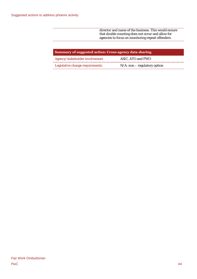director and name of the business. This would ensure that double counting does not occur and allow for agencies to focus on monitoring repeat offenders.

| Summary of suggested action: Cross-agency data sharing |                                 |  |
|--------------------------------------------------------|---------------------------------|--|
| Agency/stakeholder involvement                         | ASIC, ATO and FWO               |  |
| Legislative change requirements                        | $N/A$ : non – regulatory option |  |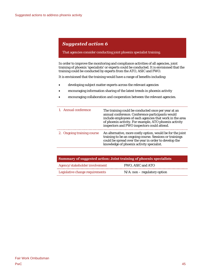### That agencies consider conducting joint phoenix specialist training.

In order to improve the monitoring and compliance activities of all agencies, joint training of phoenix 'specialists' or experts could be conducted. It is envisioned that the training could be conducted by experts from the ATO, ASIC and FWO.

It is envisioned that the training would have a range of benefits including:

- developing subject matter experts across the relevant agencies
- encouraging information sharing of the latest trends in phoenix activity
- encouraging collaboration and cooperation between the relevant agencies.

| 1. Annual conference       | The training could be conducted once per year at an<br>annual conference. Conference participants would<br>include employees of each agencies that work in the area<br>of phoenix activity. For example, ATO phoenix activity<br>inspectors and FWO inspectors could attend. |
|----------------------------|------------------------------------------------------------------------------------------------------------------------------------------------------------------------------------------------------------------------------------------------------------------------------|
| 2. Ongoing training course | An alternative, more costly option, would be for the joint<br>training to be an ongoing course. Sessions or trainings<br>could be spread over the year in order to develop the<br>knowledge of phoenix activity specialist.                                                  |

| Summary of suggested action: Joint training of phoenix specialists |                                 |  |
|--------------------------------------------------------------------|---------------------------------|--|
| Agency/stakeholder involvement                                     | FWO. ASIC and ATO               |  |
| Legislative change requirements                                    | $N/A$ : non – regulatory option |  |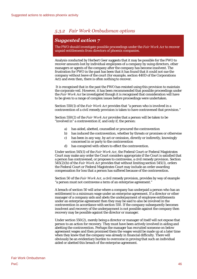# *5.3.2 Fair Work Ombudsman options*

# *Suggested action 7*

The FWO should investigate possible proceedings under the *Fair Work Act* to recover unpaid entitlements from directors of phoenix companies.

Analysis conducted by Herbert Geer suggests that it may be possible for the FWO to recover amounts lost by individual employees of a company by suing directors, other managers or agents of the company after the company has become insolvent. The frustration for FWO in the past has been that it has found that it could not sue the company without leave of the court (for example, section 440D of the Corporations Act) and even then, there is often nothing to recover.

It is recognised that in the past the FWO has resisted using this provision to maintain the corporate veil. However, it has been recommended that possible proceedings under the *Fair Work Act* be investigated though it is recognised that consideration will have to be given to a range of complex issues before proceedings were undertaken.

Section 550(1) of the *Fair Work Act* provides that "a person who is involved in a contravention of a civil remedy provision is taken to have contravened that provision."

Section 550(2) of the *Fair Work Act* provides that a person will be taken to be "involved in" a contravention if, and only if, the person:

- a) has aided, abetted, counselled or procured the contravention
- b) has induced the contravention, whether by threats or promises or otherwise
- c) has been in any way, by act or omission, directly or indirectly, knowingly concerned in or party to the contravention
- d) has conspired with others to effect the contravention.

Under section 545(1) of the *Fair Work Act*, the Federal Court or Federal Magistrates Court may make any order the Court considers appropriate if the Court is satisfied that a person has contravened, or proposes to contravene, a civil remedy provision. Section 545(2)(b) of the *Fair Work Act* provides that without limiting section 545(1), orders the Federal Court or Federal Magistrates Court may include an order awarding compensation for loss that a person has suffered because of the contravention.

Section 50 of the *Fair Work Act*, a civil remedy provision, provides by way of example "a person must not contravene a term of an enterprise agreement."

A breach of section 50 will arise where a company has underpaid a person who has an entitlement to a minimum wage under an enterprise agreement. If a director or other manager of a company aids and abets the underpayment of employee entitlements under an enterprise agreement then they may be said to also be involved in the contravention in accordance with section 550. If the company subsequently becomes insolvent and recovery of the underpayment is not possible against the company then recovery may be possible against the director or manager.

Under section 550(2), merely being a director or manager of itself will not expose that person to an action for recovery. They must have been actively involved in aiding and abetting the contravention. Perhaps the manager has recruited someone on below agreement wages and then promised them the wages would be made up at a later time when they knew that the company was already in financial difficulty. There will obviously be an evidentiary burden to overcome in proving that such an individual aided or abetted this breach of the enterprise agreement.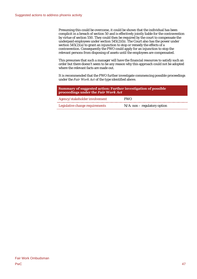Presuming this could be overcome, it could be shown that the individual has been complicit in a breach of section 50 and is effectively jointly liable for the contravention by virtue of section 550. They could then be required by the court to compensate the underpaid employees under section 545(2)(b). The Court also has the power under section  $545(2)(a)$  to grant an injunction to stop or remedy the effects of a contravention. Consequently the FWO could apply for an injunction to stop the relevant persons from disposing of assets until the employees are compensated.

This presumes that such a manager will have the financial resources to satisfy such an order but there doesn't seem to be any reason why this approach could not be adopted where the relevant facts are made out.

It is recommended that the FWO further investigate commencing possible proceedings under the *Fair Work Act* of the type identified above.

| Summary of suggested action: Further investigation of possible<br>proceedings under the Fair Work Act |                                 |  |
|-------------------------------------------------------------------------------------------------------|---------------------------------|--|
| Agency/stakeholder involvement                                                                        | <b>FWO</b>                      |  |
| Legislative change requirements                                                                       | $N/A$ : non – regulatory option |  |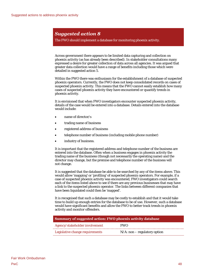The FWO should implement a database for monitoring phoenix activity.

Across government there appears to be limited data capturing and collection on phoenix activity (as has already been described). In stakeholder consultations many expressed a desire for greater collection of data across all agencies. It was argued that greater data collection would have a range of benefits including those which were detailed in suggested action 5.

Within the FWO there was enthusiasm for the establishment of a database of suspected phoenix operators. Currently, the FWO does not keep consolidated records on cases of suspected phoenix activity. This means that the FWO cannot easily establish how many cases of suspected phoenix activity they have encountered or quantify trends in phoenix activity.

It is envisioned that when FWO investigators encounter suspected phoenix activity, details of the case would be entered into a database. Details entered into the database would include:

- name of director/s
- trading name of business
- registered address of business
- telephone number of business (including mobile phone number)
- industry of business.

It is important that the registered address and telephone number of the business are entered into the database. Often when a business engages in phoenix activity the trading name of the business (though not necessarily the operating name) and the director may change, but the premise and telephone number of the business will not change.

It is suggested that the database be able to be searched by any of the items above. This would allow 'mapping' or 'profiling' of suspected phoenix operators. For example, if a case of suspected phoenix activity was encountered, FWO investigators could search each of the items listed above to see if there are any previous businesses that may have a link to the suspected phoenix operator. The links between different companies that have been liquidated could then be 'mapped'.

It is recognised that such a database may be costly to establish and that it would take time to build up enough entries for the database to be of use. However, such a database would have significant benefits and allow the FWO to better track trends in phoenix activity and monitor offenders.

| Summary of suggested action: FWO phoenix activity database |                                 |  |
|------------------------------------------------------------|---------------------------------|--|
| Agency/stakeholder involvement                             | <b>FWO</b>                      |  |
| Legislative change requirements                            | $N/A$ : non – regulatory option |  |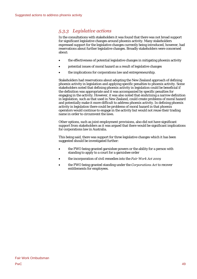# *5.3.3 Legislative actions*

In the consultations with stakeholders it was found that there was not broad support for significant legislative changes around phoenix activity. Many stakeholders expressed support for the legislative changes currently being introduced, however, had reservations about further legislative changes. Broadly stakeholders were concerned about:

- the effectiveness of potential legislative changes in mitigating phoenix activity
- potential issues of moral hazard as a result of legislative changes
- the implications for corporations law and entrepreneurship.

Stakeholders had reservations about adopting the New Zealand approach of defining phoenix activity in legislation and applying specific penalties to phoenix activity. Some stakeholders noted that defining phoenix activity in legislation could be beneficial if the definition was appropriate and it was accompanied by specific penalties for engaging in the activity. However, it was also noted that enshrining a narrow definition in legislation, such as that used in New Zealand, could create problems of moral hazard and potentially make it more difficult to address phoenix activity. In defining phoenix activity in legislation there could be problems of moral hazard in that phoenix operators would continue to engage in the activity but would not reuse their trading name in order to circumvent the laws.

Other options, such as joint employment provisions, also did not have significant support from stakeholders as it was argued that there would be significant implications for corporations law in Australia.

This being said, there was support for three legislative changes which it has been suggested should be investigated further:

- the FWO being granted garnishee powers or the ability for a person with standing to apply to a court for a garnishee order
- the incorporation of civil remedies into the *Fair Work Act 2009*
- the FWO being granted standing under the *Corporations Act* to recover entitlements for employees.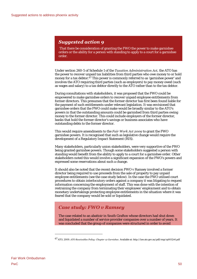That there be consideration of granting the FWO the power to make garnishee orders or the ability for a person with standing to apply to a court for a garnishee order.

Under section 260-5 of Schedule 1 of the *Taxation Administration Act,* the ATO has the power to recover unpaid tax liabilities from third parties who owe money to or hold money for a tax debtor. $67$  This power is commonly referred to as 'garnishee power' and involves the ATO requiring third parties (such as employers) to pay money owed (such as wages and salary) to a tax debtor directly to the ATO rather than to the tax debtor.

During consultations with stakeholders, it was proposed that the FWO could be empowered to make garnishee orders to recover unpaid employee entitlements from former directors. This presumes that the former director has first been found liable for the payment of such entitlements under relevant legislation. It was envisioned that garnishee orders that the FWO could make would be broadly similar to the ATO's powers in that the outstanding amounts could be garnished from third parties owing money to the former director. This could include employers of the former director, banks that hold the former director's savings or business associates who have outstanding debts to the former director.

This would require amendments to the *Fair Work Act 2009* to grant the FWO garnishee powers. It is recognised that such as legislative change would require the development of a Regulatory Impact Statement (RIS).

Many stakeholders, particularly union stakeholders, were very supportive of the FWO being granted garnishee powers. Though some stakeholders suggested a person with standing would benefit from the ability to apply to a court for a garnishee order. Other stakeholders noted this would involve a significant expansion of the FWO's powers and expressed some reservations about such a change.

It should also be noted that the recent decision FWO v Ramsey involved a former director being required to use proceeds from the sale of property to pay unpaid employee entitlements (see the case study below). In the case the FWO utilised court procedures to obtain interlocutory orders against a company it was litigating to request information concerning the employment of staff. This was done with the intention of restraining the company from terminating their employees' employment and to obtain monetary undertakings protecting employee entitlements in the situation where it was feared that the company would be sold or liquidated.

## *Case study: FWO v Ramsey*

The case related to an abattoir in South Grafton whose directors had shut down and liquidated a number of service provider companies over a number of years. It was concluded that the group of companies were structured in order to avoid

<span id="page-57-0"></span><sup>67</sup> ATO, 2009. *ATO Receivables Policy: Chapter 12 Garnishee.* Available at: http://law.ato.gov.au/pdf/rmp/rp0012v6.pdf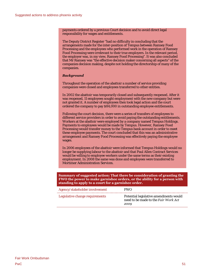payments ordered by a previous Court decision and to avoid direct legal responsibility for wages and entitlements.

The Deputy District Register "had no difficulty in concluding that the arrangements made for the inter-position of Tempus between Ramsey Food Processing and the employees who performed work in the operation of Ramsey Food Processing were irrelevant to their true employers. In the relevant period, the employer was, in my view, Ramsey Food Processing". It was also concluded that Mr Ramsey was "the effective decision maker concerning all aspects" of the companies decision making, despite not holding the directorship of many of the companies.

### *Background*

Throughout the operation of the abattoir a number of service providing companies were closed and employees transferred to other entities.

In 2002 the abattoir was temporarily closed and subsequently reopened. After it was reopened, 11 employees sought employment with the new company but were not granted it. A number of employees then took legal action and the court ordered the company to pay \$84,000 in outstanding employee entitlements.

Following the court decision, there were a series of transfers of employees to different service providers in order to avoid paying the outstanding entitlements. Workers at the abattoir were employed by a company named Tempus Holdings. Payments to employees would be made by Tempus. However, Ramsey Food Processing would transfer money to the Tempus bank account in order to meet these employee payments. The court concluded that this was an administrative arrangement and Ramsey Food Processing was effectively paying the employee wages.

In 2006 employees of the abattoir were informed that Tempus Holdings would no longer be supplying labour to the abattoir and that Paul Allen Contract Services would be willing to employee workers under the same terms as their existing employment. In 2008 the same was done and employees were transferred to Mortimer Administration Services.

**Summary of suggested action: That there be consideration of granting the FWO the power to make garnishee orders, or the ability for a person with standing to apply to a court for a garnishee order.** 

| Agency/stakeholder involvement  | <b>FWO</b>                                                                             |
|---------------------------------|----------------------------------------------------------------------------------------|
| Legislative change requirements | Potential legislative amendments would<br>need to be made to the Fair Work Act<br>2009 |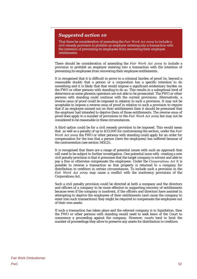That there be consideration of amending the *Fair Work Act 2009* to include a civil remedy provision to prohibit an employer entering into a transaction with the intention of preventing its employees from recovering their employee entitlements.

There should be consideration of amending the *Fair Work Act 2009* to include a provision to prohibit an employer entering into a transaction with the intention of preventing its employees from recovering their employee entitlements.

It is recognised that it is difficult to prove to a criminal burden of proof (ie. beyond a reasonable doubt) that a person or a corporation has a specific intention to do something and it is likely that that would impose a significant evidentiary burden on the FWO or other persons with standing to do so. This results in a suboptimal level of deterrence as some phoenix operators are not able to be prosecuted. The FWO or other persons with standing could continue with the current provisions. Alternatively, a reverse onus of proof could be imposed in relation to such a provision. It may not be acceptable to impose a reverse onus of proof in relation to such a provision to require that if an employee missed out on their entitlements then it should be presumed that the employer had intended to deprive them of those entitlements. The reverse onus of proof does apply to a number of provisions in the *Fair Work Act 2009* but may not be considered to be reasonable in these circumstances.

A third option could be for a civil remedy provision to be imposed. This would mean that as well as a penalty of up to \$33,000 for contravening the section, under the *Fair Work Act 2009* the FWO or other persons with standing could apply for an order for compensation for the loss that a person (here the employees) has suffered because of the contravention (see section  $54\overline{5}(2)$ ).

It is recognised that there are a range of potential issues with such an approach that will need to be subject to further investigation. One potential issue with creating a new civil penalty provision is that it presumes that the target company is solvent and able to pay a fine or otherwise compensate the employees. Under the *Corporations Act* it is possible to reverse a transaction so that property is returned to a company for distribution to creditors in certain circumstances. To include such a provision in the *Fair Work Act 2009* may cause a conflict with the insolvency provisions of the Corporations Act.

Such a civil penalty provision could be directed at both a company and the directors and officers of a company to be more effective in supporting recovery of entitlements because even if the company is insolvent, if the officers and directors have assisted in attempting to deprive the employees of their entitlements (and cause the company to enter into such transactions) they might be required to compensate the employees out of their own assets.

If such a transaction has taken place and the relevant company is in liquidation, then the FWO or other persons with standing would need to seek leave of the Court to commence a proceeding against the company. However, courts tend to limit the number of proceedings they allow to preserve any assets for distribution to creditors.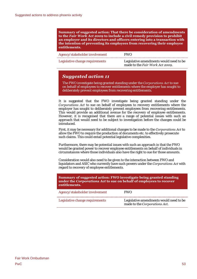**Summary of suggested action: That there be consideration of amendments to the** *Fair Work Act 2009* **to include a civil remedy provision to prohibit an employer and its directors and officers entering into a transaction with the intention of preventing its employees from recovering their employee entitlements.** 

| Agency/stakeholder involvement  | <b>FWO</b>                                                                 |
|---------------------------------|----------------------------------------------------------------------------|
| Legislative change requirements | Legislative amendments would need to be<br>made to the Fair Work Act 2009. |

## *Suggested action 11*

The FWO investigate being granted standing under the *Corporations Act* to sue on behalf of employees to recover entitlements where the employer has sought to deliberately prevent employees from recovering entitlements.

It is suggested that the FWO investigate being granted standing under the *Corporations Act* to sue on behalf of employees to recovery entitlements where the employer has sought to deliberately prevent employees from recovering entitlements. This would provide an additional avenue for the recovery of employee entitlements. However, it is recognised that there are a range of potential issues with such an approach that would need to be subject to investigation before the changes could be introduced.

First, it may be necessary for additional changes to be made to the *Corporations Act* to allow the FWO to require the production of documents etc. to effectively prosecute such claims. This could entail potential legislative complexities.

Furthermore, there may be potential issues with such an approach in that the FWO would be granted power to recover employee entitlements on behalf of individuals in circumstances where those individuals also have the right to sue for those amounts.

Consideration would also need to be given to the interaction between FWO and liquidators and ASIC who currently have such powers under the *Corporations Act* with regard to recovery of employee entitlements.

| Summary of suggested action: FWO investigate being granted standing<br>under the Corporations Act to sue on behalf of employees to recover<br>entitlements. |                                                                          |  |
|-------------------------------------------------------------------------------------------------------------------------------------------------------------|--------------------------------------------------------------------------|--|
| Agency/stakeholder involvement                                                                                                                              | <b>FWO</b>                                                               |  |
| Legislative change requirements                                                                                                                             | Legislative amendments would need to be<br>made to the Corporations Act. |  |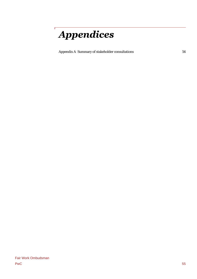# **Appendices**

Ĭ

[Appendix A Summary of stakeholder consultations](#page-63-0) 

56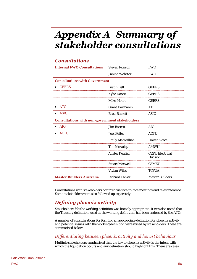# <span id="page-63-0"></span>Appendix A Summary of stakeholder consultations

# *Consultations*

| <b>Internal FWO Consultations</b>                     | <b>Steven Ronson</b>  | <b>FWO</b>                         |
|-------------------------------------------------------|-----------------------|------------------------------------|
|                                                       | Janine Webster        | <b>FWO</b>                         |
| <b>Consultations with Government</b>                  |                       |                                    |
| <b>GEERS</b>                                          | Justin Bell           | <b>GEERS</b>                       |
|                                                       | Kylie Doore           | GEERS                              |
|                                                       | Mike Moore            | <b>GEERS</b>                       |
| <b>ATO</b>                                            | <b>Grant Darmanin</b> | <b>ATO</b>                         |
| <b>ASIC</b>                                           | <b>Brett Bassett</b>  | <b>ASIC</b>                        |
| <b>Consultations with non-government stakeholders</b> |                       |                                    |
| AIG                                                   | Jim Barrett           | AIG                                |
| <b>ACTU</b>                                           | Joel Fetter           | <b>ACTU</b>                        |
|                                                       | Emily MacMillian      | <b>United Voice</b>                |
|                                                       | Tim McAuley           | AMWU                               |
|                                                       | Alister Kentish       | <b>CEPU Electrical</b><br>Division |
|                                                       | Stuart Maxwell        | <b>CFMEU</b>                       |
|                                                       | Vivian Wiles          | <b>TCFUA</b>                       |
| <b>Master Builders Australia</b>                      | <b>Richard Calver</b> | <b>Master Builders</b>             |

Consultations with stakeholders occurred via face-to-face meetings and teleconference. Some stakeholders were also followed up separately.

# *Defining phoenix activity*

Stakeholders felt the working definition was broadly appropriate. It was also noted that the Treasury definition, used as the working definition, has been endorsed by the ATO.

A number of considerations for forming an appropriate definition for phoenix activity and potential issues with the working definition were raised by stakeholders. These are summarised below.

## *Differentiating between phoenix activity and honest behaviour*

Multiple stakeholders emphasised that the key to phoenix activity is the intent with which the liquidation occurs and any definition should highlight this. There are cases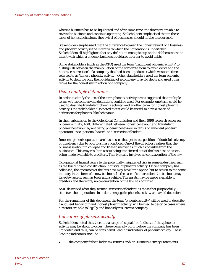where a business has to be liquidated and after some time, the directors are able to revive the business and continue operating. Stakeholders emphasised that in these cases of honest behaviour, the revival of businesses should not be discouraged.

Stakeholders emphasised that the difference between the honest revival of a business and phoenix activity is the intent with which the liquidation is undertaken. Stakeholders all highlighted that any definition must pick up on the deliberateness or intent with which a phoenix business liquidates in order to avoid debts.

Some stakeholders (such as the ATO) used the term 'fraudulent phoenix activity' to distinguish between the manipulation of the corporate form to avoid debts and the honest 'resurrection' of a company that had been liquidated (which was sometimes referred to as 'honest' phoenix activity). Other stakeholders used the term phoenix activity to describe only the liquidating of a company to avoid debts and used other terms for the honest resurrection of a company.

## *Using multiple definitions*

In order to clarify the use of the term phoenix activity it was suggested that multiple terms with accompanying definitions could be used. For example, one term could be used to describe fraudulent phoenix activity, and another term for honest phoenix activity. One stakeholder also noted that it could be useful to have a range of definitions for phoenix-like behaviour.

In their submission to the Cole Royal Commission and their 1996 research paper on phoenix activity, ASIC differentiated between honest behaviour and fraudulent phoenix behaviour by analysing phoenix behaviour in terms of 'innocent phoenix operators', 'occupational hazard' and 'careerist offenders'.

Innocent phoenix operators are businesses that get into a position of doubtful solvency or insolvency due to poor business practices. One of the directors realises that the business is about to collapse and tries to recover as much as possible from the businesses. This may result in assets being transferred out of the business or assets being made available to creditors. This typically involves no contravention of the law.

Occupational hazard refers to the potentially heightened risk in some industries, such as the building and construction industry, of phoenix activity. Once a company has collapsed, the operators of the business may have little option but to return to the same industry in the form of a new business. In the case of construction, the business may have few assets, such as tools and a vehicle. The assets may be made available to creditors and therefore, no contravention of the law has occurred.

ASIC described what they termed 'careerist offenders' as those that purposefully structure their operations in order to engage in phoenix activity and avoid detection.

For the remainder of this document the term 'phoenix activity' will be used to describe fraudulent behaviour and 'honest phoenix activity' will be used to describe cases where directors are able to legally and honestly resurrect a company.

## *Indicators of phoenix activity*

Stakeholders noted that there are a range of 'signals' or 'indicators' that phoenix activity may be about to occur. These generally occur before the company has been liquidated and thus, can be considered 'leading indicators' of phoenix activity. These 'leading indicators' include:

the company fails to lodge tax returns and/or Business Activity Statements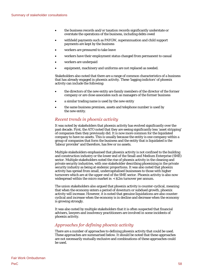- the business records and/or taxation records significantly understate or overstate the operations of the business, including debts owed
- withheld payments such as PAYGW, superannuation and child support payments are kept by the business
- workers are pressured to take leave
- workers have their employment status changed from permanent to casual
- workers are underpaid
- equipment, machinery and uniforms are not replaced as needed.

Stakeholders also noted that there are a range of common characteristics of a business that has already engaged in phoenix activity. These 'lagging indictors' of phoenix activity can include the following:

- the directors of the new entity are family members of the director of the former company or are close associates such as managers of the former business
- a similar trading name is used by the new entity
- the same business premises, assets and telephone number is used by the new entity.

## *Recent trends in phoenix activity*

It was noted by stakeholders that phoenix activity has evolved significantly over the past decade. First, the ATO noted that they are seeing significantly less 'asset stripping' of companies then they previously did. It is now more common for the liquidated company to have no assets. This is usually because the entity is one company within a group of companies that form the business and the entity that is liquidated is the 'labour provider' and therefore, has few or no assets.

Multiple stakeholders emphasised that phoenix activity is not confined to the building and construction industry or the lower end of the Small and Medium Enterprise (SME) sector. Multiple stakeholders noted the rise of phoenix activity in the cleaning and private security industries, with one stakeholder describing phoenixing in the private security industry as being at endemic proportions. It was also noted that phoenix activity has spread from small, undercapitalised businesses to those with higher turnovers which are at the upper-end of the SME sector. Phoenix activity is also now widespread within the micro market ie. < \$2m turnover per annum.

The union stakeholders also argued that phoenix activity is counter-cyclical, meaning that when the economy enters a period of downturn or subdued growth, phoenix activity will increase. However, it is noted that genuine liquidations are also countercyclical and increase when the economy is in decline and decrease when the economy is growing strongly.

It was also noted by multiple stakeholders that it is often suspected that financial advisers, lawyers and insolvency practitioners are involved in some incidents of phoenix activity.

## *Approaches for defining phoenix activity*

There are a number of approaches to defining phoenix activity that could be used. These approaches are summarised below. It should be noted that these approaches are not necessarily mutually exclusive and combinations of these approaches could be used.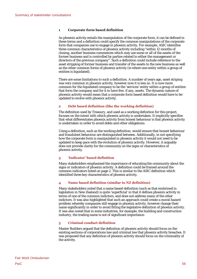### **1 Corporate form based definition**

As phoenix activity entails the manipulation of the corporate form, it can be defined in these terms and a definition could specify the common manipulations of the corporate form that companies use to engage in phoenix activity. For example, ASIC identifies three common characteristics of phoenix activity including "within 12 months of closing, another business commences which may use some or all of the assets of the former business and is controlled by parties related to either the management or directors of the previous company". Such a definition could include reference to the asset stripping of former business and transfer of the assets to the new business as well as the other common forms of phoenix activity (ie where one entity within a group of entities is liquidated).

There are some limitations to such a definition. A number of years ago, asset striping was very common in phoenix activity, however now it is less so. It is now more common for the liquidated company to be the 'services' entity within a group of entities that form the company and for it to have few, if any, assets. The dynamic nature of phoenix activity would mean that a corporate form based definition would have to be updated to evolve with phoenix activity.

### **2 Debt based definition (like the working definition)**

The definition used by Treasury, and used as a working definition for this project, focuses on the intent with which phoenix activity is undertaken. It implicitly specifies that what differentiates phoenix activity from honest behaviour is that phoenix activity is undertaken in order to avoid debts and other obligations.

Using a definition, such as the working definition, would ensure that honest behaviour and fraudulent behaviour are distinguished between. Additionally, in not specifying how the corporate form is manipulated in phoenix activity it would not need to be updated to keep pace with the evolution of phoenix activity. However, it arguably does not provide clarity for the community on the signs or characteristics of phoenix activity.

### **3 'Indicator' based definition**

Many stakeholders emphasised the importance of educating the community about the signs or indicators of phoenix activity. A definition could be framed around the common indicators listed on page 2. This is similar to the ASIC definition which identified three key characteristics of phoenix activity.

### **4 Name based definition (similar to NZ definition)**

Many stakeholders noted that a name based definition (such as that enshrined in legislation in New Zealand) is quite 'superficial' in that it defines phoenix activity in terms of one of the common indictors, and does not address many of the other indictors. It was also highlighted that such an approach could create a moral hazard problem whereby companies still engage in phoenix activity, however change their name significantly in order to avoid fitting the legislative definition of phoenix activity. It was also noted that in some industries, for example, the building and construction industry, the trading name is not of significant importance.

### **5 Criminal conduct definition**

Master Builders argued that the definition of phoenix activity should focus on the existing sections of corporations law and criminal law that phoenix activity breaches. It was proposed that any definition of phoenix activity should focus on the criminality of the activity.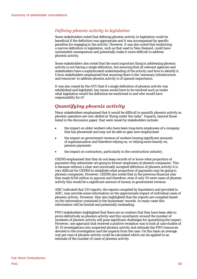## *Defining phoenix activity in legislation*

Some stakeholders noted that defining phoenix activity in legislation could be beneficial if the definition was appropriate and it was accompanied by specific penalties for engaging in the activity. However, it was also noted that enshrining a narrow definition in legislation, such as that used in New Zealand, could have unintended consequences and potentially make it more difficult to address phoenix activity.

Some stakeholders also noted that the most important thing in addressing phoenix activity is not having a single definition, but ensuring that all relevant agencies and stakeholders have a sophisticated understanding of the activity and how to identify it. Union stakeholders emphasised that ensuring there is the 'necessary infrastructure and resources' to address phoenix activity is of upmost importance.

It was also raised by the ATO that if a single definition of phoenix activity was established and legislated, key issues would have to be resolved such as under what legislation would the definition be enshrined in and who would have responsibility for it?

# *Quantifying phoenix activity*

Many stakeholders emphasised that it would be difficult to quantify phoenix activity as phoenix operators are very skilled at 'flying under the radar'. Impacts, beyond those listed in the discussion paper, that were raised by stakeholders include:

- the impact on older workers who have been long-term employees of a company that has phoenixed and may not be able to gain new employment
- the impact on government revenue of workers loosing significant amounts of superannuation and therefore relying on, or relying more heavily on, pension payments
- the impact on contractors, particularly in the construction industry.

GEERS emphasised that they do not keep records of or know what proportion of payments they administer are going to former employees of phoenix companies. This is because without a clear and universally accepted definition of phoenix activity it is very difficult for GEERS to establishe what proportion of payments may be going to phoenix companies. However, GEERS also noted that in the previous financial year they made \$154 million in payouts and therefore, even if only 1% were cases of phoenix activity this would be a significant amount of money in government revenue.

ASIC indicated that 533 reports, the reports compiled by liquidators and provided to ASIC, may provide some information on the approximate impact of individual cases of phoenix activity. However, they also highlighted that the reports are compiled based on the information contained in the businesses' records. In many cases this information will be limited and potentially misleading.

FWO stakeholders highlighted that there are no matters that they have been able to prove definitively as phoenix activity and this uncertainty around the number of incidents of phoenix activity will pose significant challenges for quantifying the impact. However, one approach that received a positive reception was to look at case studies of 10-15 investigations into suspected phoenix activity and estimate the FWO resources devoted to the investigation and the impacts from the case. On this basis an average cost per case of phoenix activity could be calculated which can be applied to an estimate of the number of cases of phoenix activity.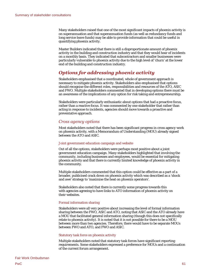Many stakeholders raised that one of the most significant impacts of phoenix activity is on superannuation and that superannuation funds (as well as redundancy funds and long service leave funds) may be able to provide information that could be useful in quantifying phoenix activity.

Master Builders indicated that there is still a disproportionate amount of phoenix activity in the building and construction industry and that they would hear of incidents on a monthly basis. They indicated that subcontractors and smaller businesses were particularly vulnerable to phoenix activity due to the high level of 'churn' at the lower end of the building and construction industry.

# *Options for addressing phoenix activity*

Stakeholders emphasised that a coordinated, whole of government approach is necessary to mitigate phoenix activity. Stakeholders also emphasised that options should recognise the different roles, responsibilities and resources of the ATO, ASIC and FWO. Multiple stakeholders commented that in developing options there must be an awareness of the implications of any option for risk taking and entrepreneurship.

Stakeholders were particularly enthusiastic about options that had a proactive focus, rather than a reactive focus. It was commented by one stakeholder that rather than acting in response to incidents, agencies should move towards a proactive and preventative approach.

## *Cross agency options*

Most stakeholders noted that there has been significant progress in cross agency work on phoenix activity, with a Memorandum of Understanding (MOU) already signed between the ATO and ASIC.

### Joint government education campaign and website

Out of all the options, stakeholders were perhaps most positive about a joint government education campaign. Many stakeholders highlighted that involving the community, including businesses and employees, would be essential for mitigating phoenix activity and that there is currently limited knowledge of phoenix activity in the community.

Multiple stakeholders commented that this option could be effective as a part of a broader, publicised crack down on phoenix activity which was described as a 'shock and awe' strategy to 'maximise the heat on phoenix operators'.

Stakeholders also noted that there is currently some progress towards this with agencies agreeing to have links to ATO information of phoenix activity on their websites.

### Formal information sharing

Stakeholders were all very positive about increasing the level of formal information sharing between the FWO, ASIC and ATO, noting that ASIC and the ATO already have a MOU that facilitated general information sharing (though this does not specifically relate to phoenix activity). It is noted that it is not possible for there to be a MOU between more than two agencies. Therefore, there would have to be separate MOUs between FWO and ATO, and FWO and ASIC.

### Statutory task force on phoenix activity

Multiple stakeholders noted that statutory task forces have significant reporting requirements. Some stakeholders expressed a preference for MOUs and a continuation of the current forum arrangement.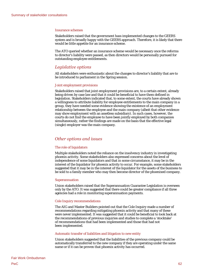#### Insurance schemes

Stakeholders raised that the government hass implemented changes to the GEERS system and is broadly happy with the GEERS approach. Therefore, it is likely that there would be little appetite for an insurance scheme.

The ATO queried whether an insurance scheme would be necessary once the reforms to director's liability were passed, as then directors would be personally pursued for outstanding employee entitlements.

### *Legislative options*

All stakeholders were enthusiastic about the changes to director's liability that are to be introduced to parliament in the Spring session.

### Joint employment provisions

Stakeholders raised that joint employment provisions are, to a certain extent, already being driven by case law and that it could be beneficial to have them defined in legislation. Stakeholders indicated that, to some extent, the courts have already shown a willingness to attribute liability for employee entitlements to the main company in a group, they have needed some evidence showing the existence of an employment relationship between the employee and the main company (albeit that other evidence may show employment with an assetless subsidiary). In such cases, however, the courts do not find the employee to have been jointly employed by both companies simultaneously, rather the findings are made on the basis that the effective legal (single) employer was the main company.

### *Other options and issues*

#### The role of liquidators

Multiple stakeholders noted the reliance on the insolvency industry in investigating phoenix activity. Some stakeholders also expressed concerns about the level of independence of some liquidators and that in some circumstance, it may be in the interest of the liquidator for phoenix activity to occur. For example, some stakeholders suggested that it may be in the interest of the liquidator for the assets of the business to be sold to a family member who may then become director of the phoenixed company.

#### Superannuation

Union stakeholders raised that the Superannuation Guarantee Legislation is overseen only by the ATO. It was suggested that there could be greater compliance if all three agencies had a role in monitoring superannuation payments.

### Cole Inquiry recommendations

The AIG and Master Builders pointed out that the Cole Inquiry made a number of recommendations regarding mitigating phoenix activity and that many of these were never implemented. It was suggested that it could be beneficial to look back at the recommendations of previous inquiries and studies to complete a 'stocktake' of recommendations that had been implemented and those that had not been implemented.

### Automatic transfer of liabilities and litigation to new entity

Union stakeholders suggested that the liabilities of the previous company could be automatically transferred to the new company if they are operating under the same name or if it can be proven that phoenix activity has occurred.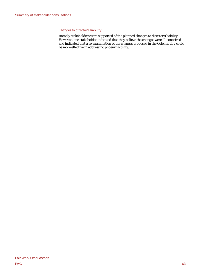### Changes to director's liability

Broadly stakeholders were supported of the planned changes to director's liability. However, one stakeholder indicated that they believe the changes were ill-conceived and indicated that a re-examination of the changes proposed in the Cole Inquiry could be more effective in addressing phoenix activity.